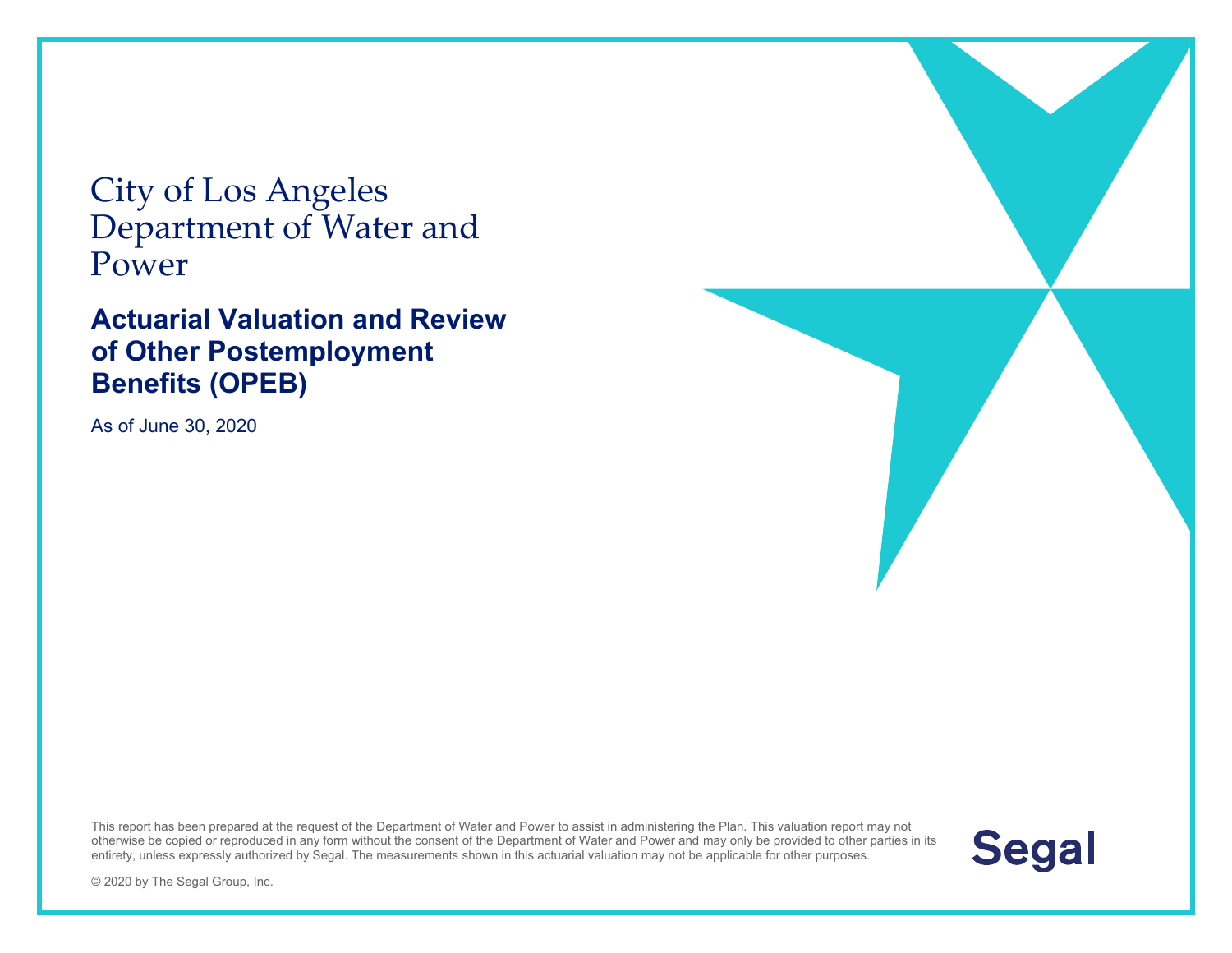City of Los Angeles Department of Water and Power

#### **Actuarial Valuation and Review of Other Postemployment Benefits (OPEB)**

As of June 30, 2020





© 2020 by The Segal Group, Inc.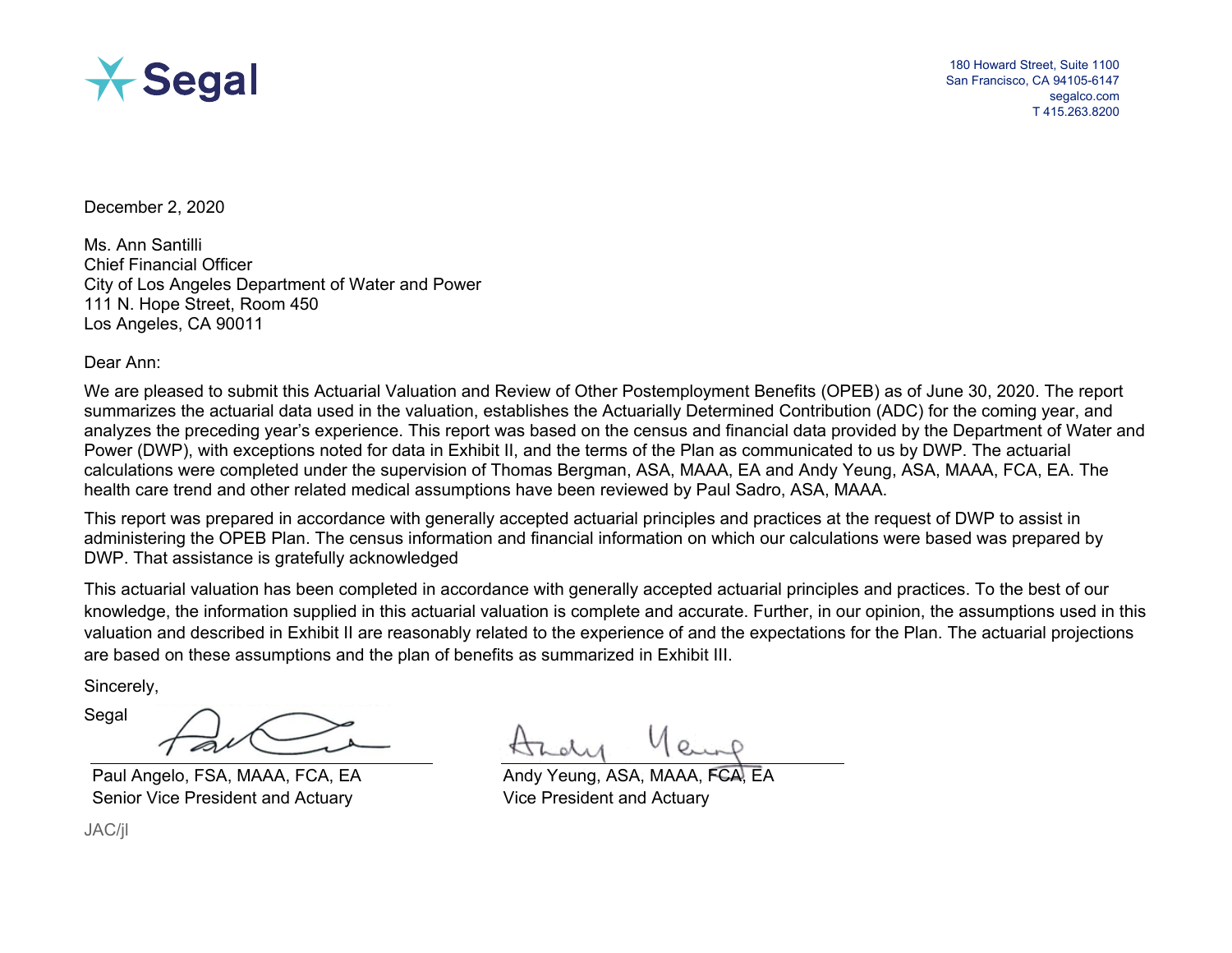

180 Howard Street, Suite 1100 San Francisco, CA 94105-6147 segalco.com T 415.263.8200

December 2, 2020

Ms. Ann Santilli Chief Financial Officer City of Los Angeles Department of Water and Power 111 N. Hope Street, Room 450 Los Angeles, CA 90011

Dear Ann:

We are pleased to submit this Actuarial Valuation and Review of Other Postemployment Benefits (OPEB) as of June 30, 2020. The report summarizes the actuarial data used in the valuation, establishes the Actuarially Determined Contribution (ADC) for the coming year, and analyzes the preceding year's experience. This report was based on the census and financial data provided by the Department of Water and Power (DWP), with exceptions noted for data in Exhibit II, and the terms of the Plan as communicated to us by DWP. The actuarial calculations were completed under the supervision of Thomas Bergman, ASA, MAAA, EA and Andy Yeung, ASA, MAAA, FCA, EA. The health care trend and other related medical assumptions have been reviewed by Paul Sadro, ASA, MAAA.

This report was prepared in accordance with generally accepted actuarial principles and practices at the request of DWP to assist in administering the OPEB Plan. The census information and financial information on which our calculations were based was prepared by DWP. That assistance is gratefully acknowledged

This actuarial valuation has been completed in accordance with generally accepted actuarial principles and practices. To the best of our knowledge, the information supplied in this actuarial valuation is complete and accurate. Further, in our opinion, the assumptions used in this valuation and described in Exhibit II are reasonably related to the experience of and the expectations for the Plan. The actuarial projections are based on these assumptions and the plan of benefits as summarized in Exhibit III.

Sincerely,

Segal

Paul Angelo, FSA, MAAA, FCA, EA Senior Vice President and Actuary

JAC/jl

Andy Yeung, ASA, MAAA Vice President and Actuary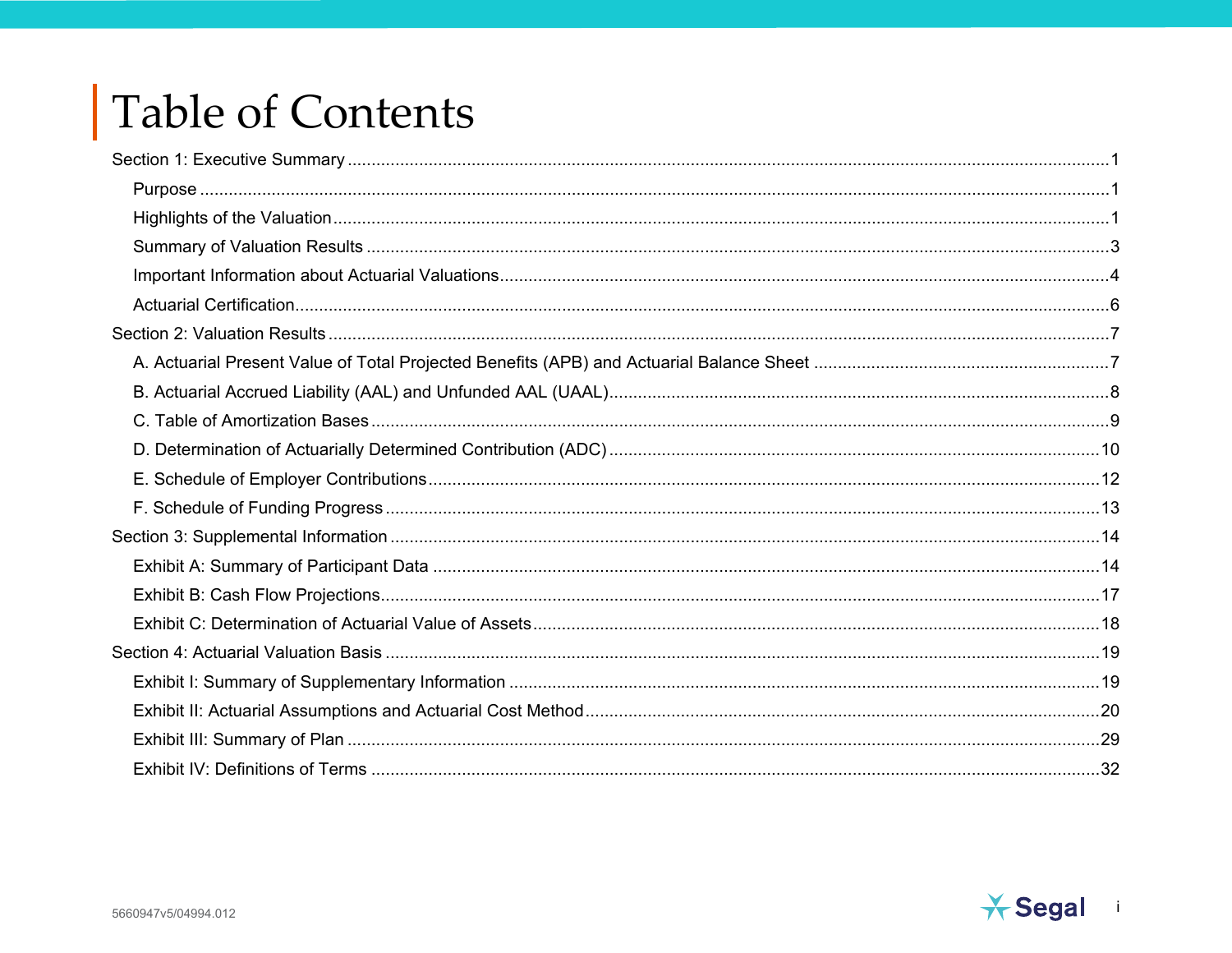# Table of Contents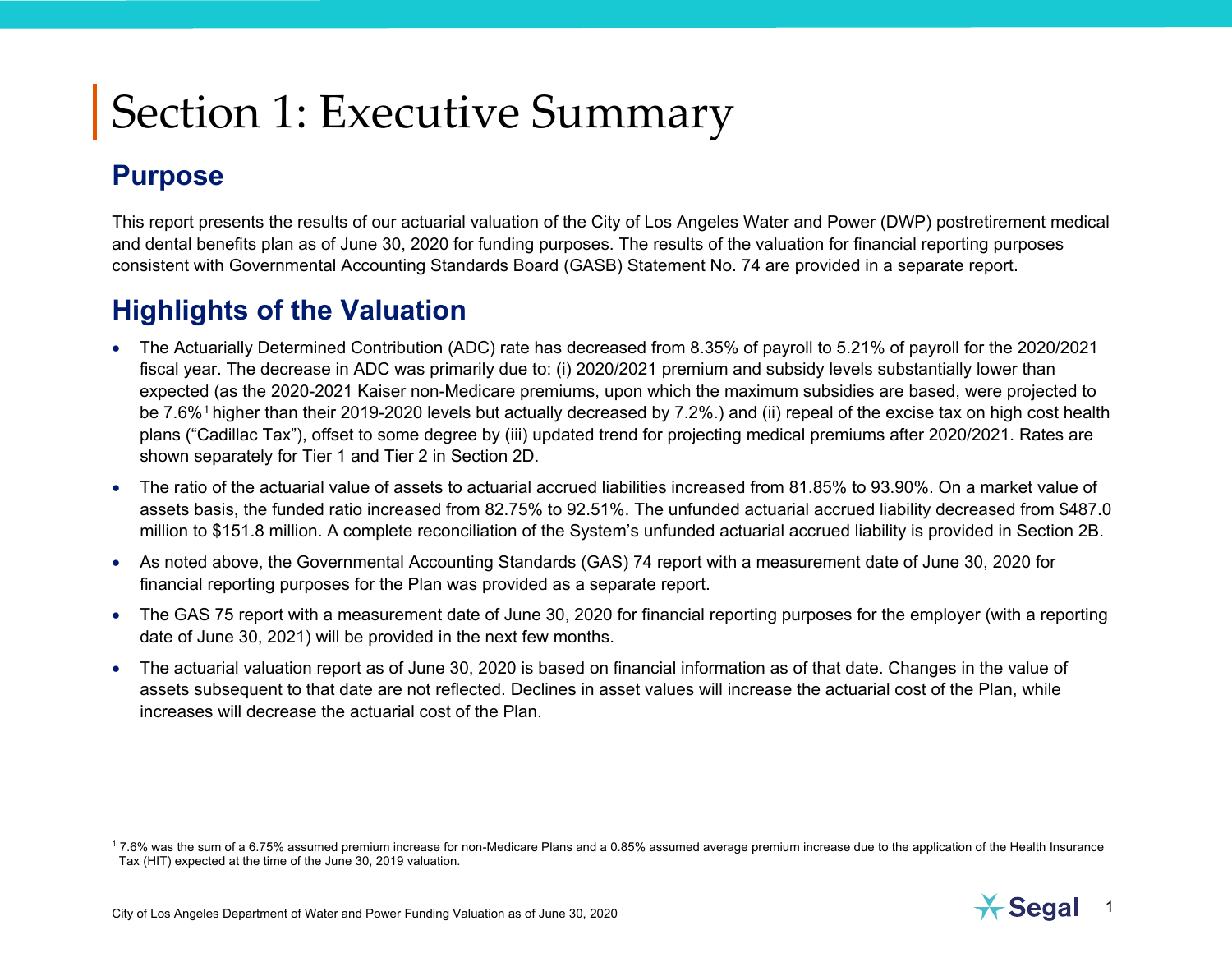#### <span id="page-3-3"></span><span id="page-3-1"></span><span id="page-3-0"></span>**Purpose**

This report presents the results of our actuarial valuation of the City of Los Angeles Water and Power (DWP) postretirement medical and dental benefits plan as of June 30, 2020 for funding purposes. The results of the valuation for financial reporting purposes consistent with Governmental Accounting Standards Board (GASB) Statement No. 74 are provided in a separate report.

#### <span id="page-3-2"></span>**Highlights of the Valuation**

- The Actuarially Determined Contribution (ADC) rate has decreased from 8.35% of payroll to 5.21% of payroll for the 2020/2021 fiscal year. The decrease in ADC was primarily due to: (i) 2020/2021 premium and subsidy levels substantially lower than expected (as the 2020-2021 Kaiser non-Medicare premiums, upon which the maximum subsidies are based, were projected to be 7.6%<sup>[1](#page-3-3)</sup> higher than their 2019-2020 levels but actually decreased by 7.2%.) and (ii) repeal of the excise tax on high cost health plans ("Cadillac Tax"), offset to some degree by (iii) updated trend for projecting medical premiums after 2020/2021. Rates are shown separately for Tier 1 and Tier 2 in Section 2D.
- The ratio of the actuarial value of assets to actuarial accrued liabilities increased from 81.85% to 93.90%. On a market value of assets basis, the funded ratio increased from 82.75% to 92.51%. The unfunded actuarial accrued liability decreased from \$487.0 million to \$151.8 million. A complete reconciliation of the System's unfunded actuarial accrued liability is provided in Section 2B.
- As noted above, the Governmental Accounting Standards (GAS) 74 report with a measurement date of June 30, 2020 for financial reporting purposes for the Plan was provided as a separate report.
- The GAS 75 report with a measurement date of June 30, 2020 for financial reporting purposes for the employer (with a reporting date of June 30, 2021) will be provided in the next few months.
- The actuarial valuation report as of June 30, 2020 is based on financial information as of that date. Changes in the value of assets subsequent to that date are not reflected. Declines in asset values will increase the actuarial cost of the Plan, while increases will decrease the actuarial cost of the Plan.

<sup>1</sup>7.6% was the sum of a 6.75% assumed premium increase for non-Medicare Plans and a 0.85% assumed average premium increase due to the application of the Health Insurance Tax (HIT) expected at the time of the June 30, 2019 valuation.

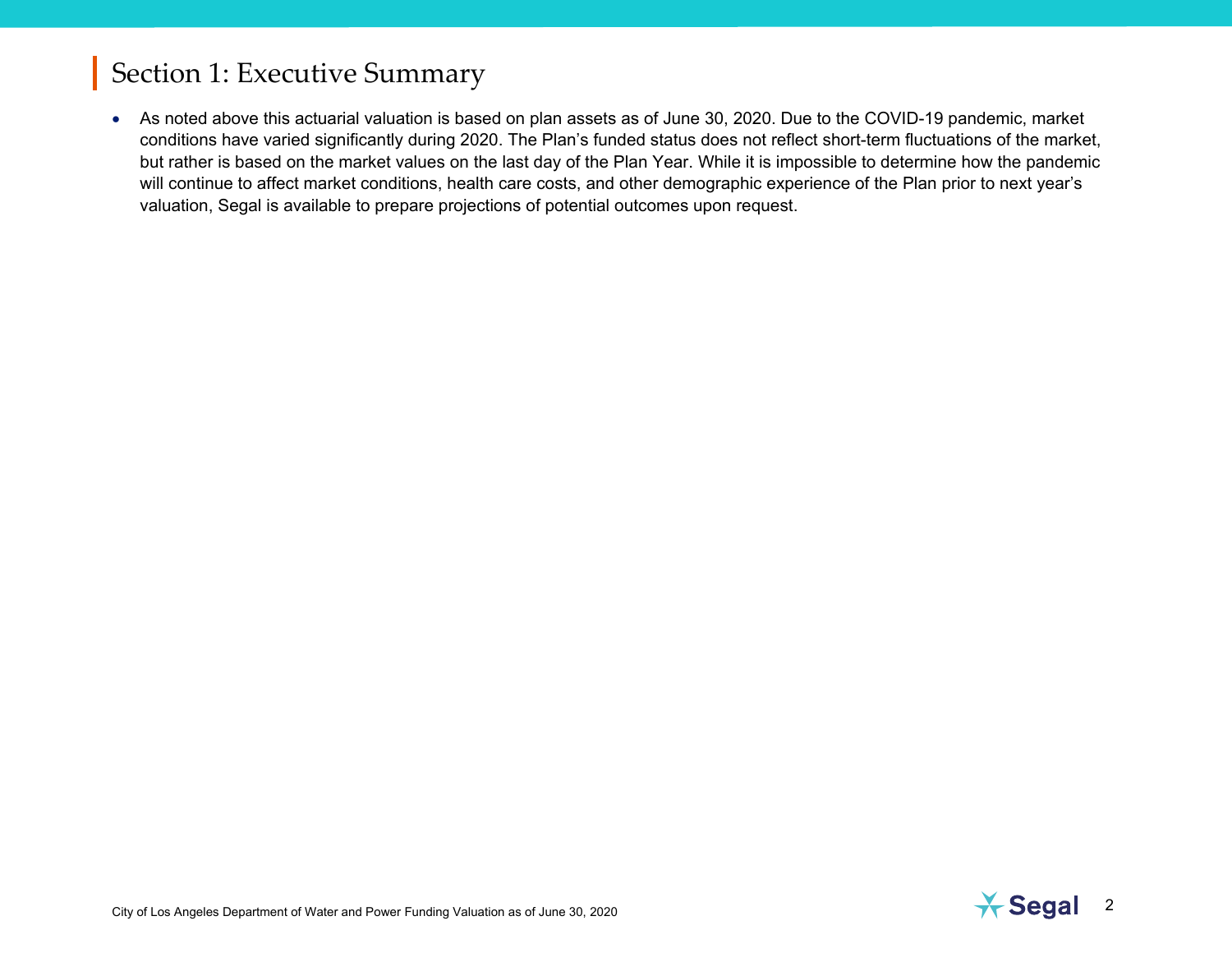• As noted above this actuarial valuation is based on plan assets as of June 30, 2020. Due to the COVID-19 pandemic, market conditions have varied significantly during 2020. The Plan's funded status does not reflect short-term fluctuations of the market, but rather is based on the market values on the last day of the Plan Year. While it is impossible to determine how the pandemic will continue to affect market conditions, health care costs, and other demographic experience of the Plan prior to next year's valuation, Segal is available to prepare projections of potential outcomes upon request.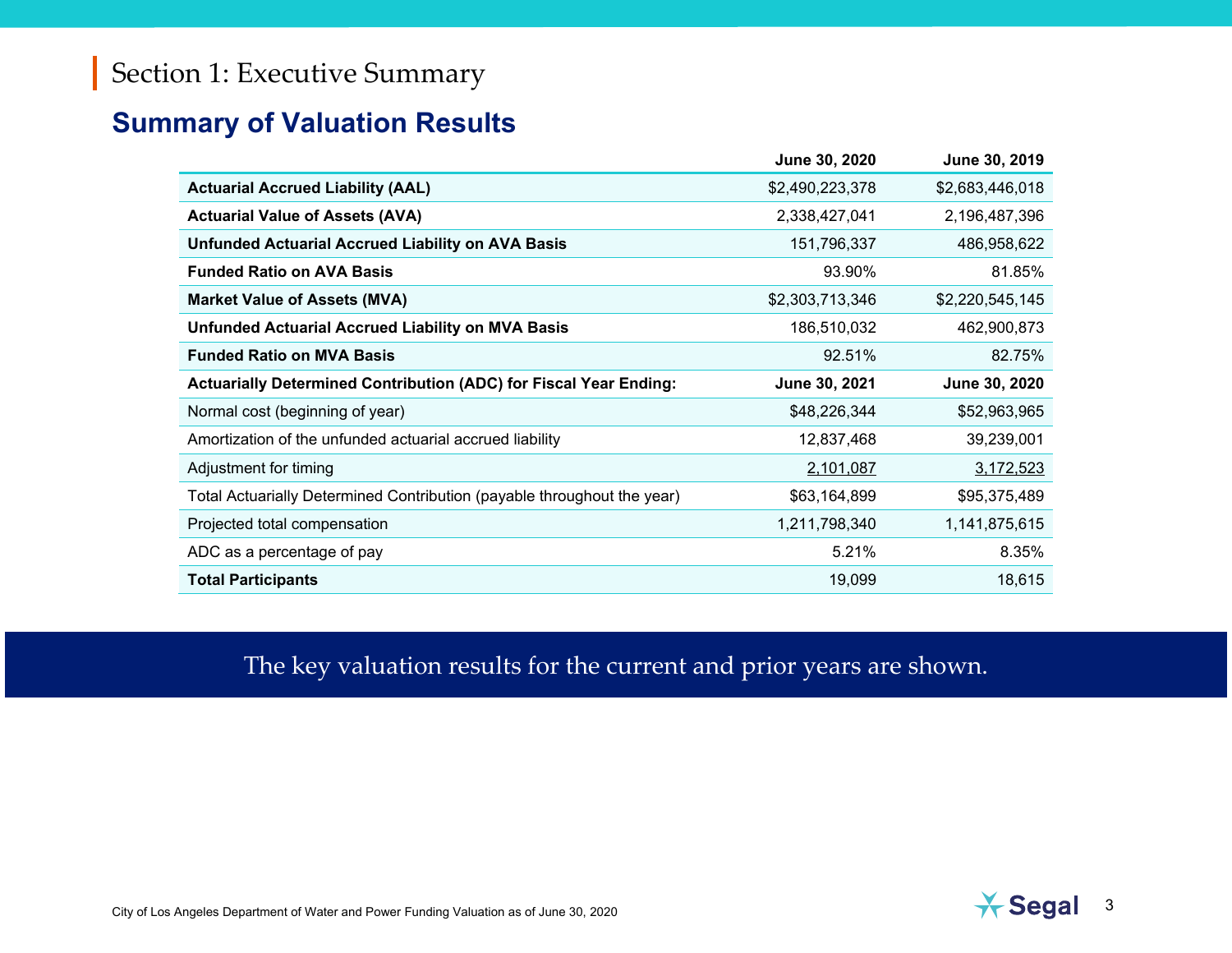#### <span id="page-5-0"></span>**Summary of Valuation Results**

|                                                                          | June 30, 2020   | June 30, 2019   |
|--------------------------------------------------------------------------|-----------------|-----------------|
| <b>Actuarial Accrued Liability (AAL)</b>                                 | \$2,490,223,378 | \$2,683,446,018 |
| <b>Actuarial Value of Assets (AVA)</b>                                   | 2,338,427,041   | 2,196,487,396   |
| <b>Unfunded Actuarial Accrued Liability on AVA Basis</b>                 | 151,796,337     | 486,958,622     |
| <b>Funded Ratio on AVA Basis</b>                                         | 93.90%          | 81.85%          |
| <b>Market Value of Assets (MVA)</b>                                      | \$2,303,713,346 | \$2,220,545,145 |
| <b>Unfunded Actuarial Accrued Liability on MVA Basis</b>                 | 186,510,032     | 462,900,873     |
| <b>Funded Ratio on MVA Basis</b>                                         | 92.51%          | 82.75%          |
|                                                                          |                 |                 |
| <b>Actuarially Determined Contribution (ADC) for Fiscal Year Ending:</b> | June 30, 2021   | June 30, 2020   |
| Normal cost (beginning of year)                                          | \$48,226,344    | \$52,963,965    |
| Amortization of the unfunded actuarial accrued liability                 | 12,837,468      | 39,239,001      |
| Adjustment for timing                                                    | 2,101,087       | 3,172,523       |
| Total Actuarially Determined Contribution (payable throughout the year)  | \$63,164,899    | \$95,375,489    |
| Projected total compensation                                             | 1,211,798,340   | 1,141,875,615   |
| ADC as a percentage of pay                                               | 5.21%           | 8.35%           |

The key valuation results for the current and prior years are shown.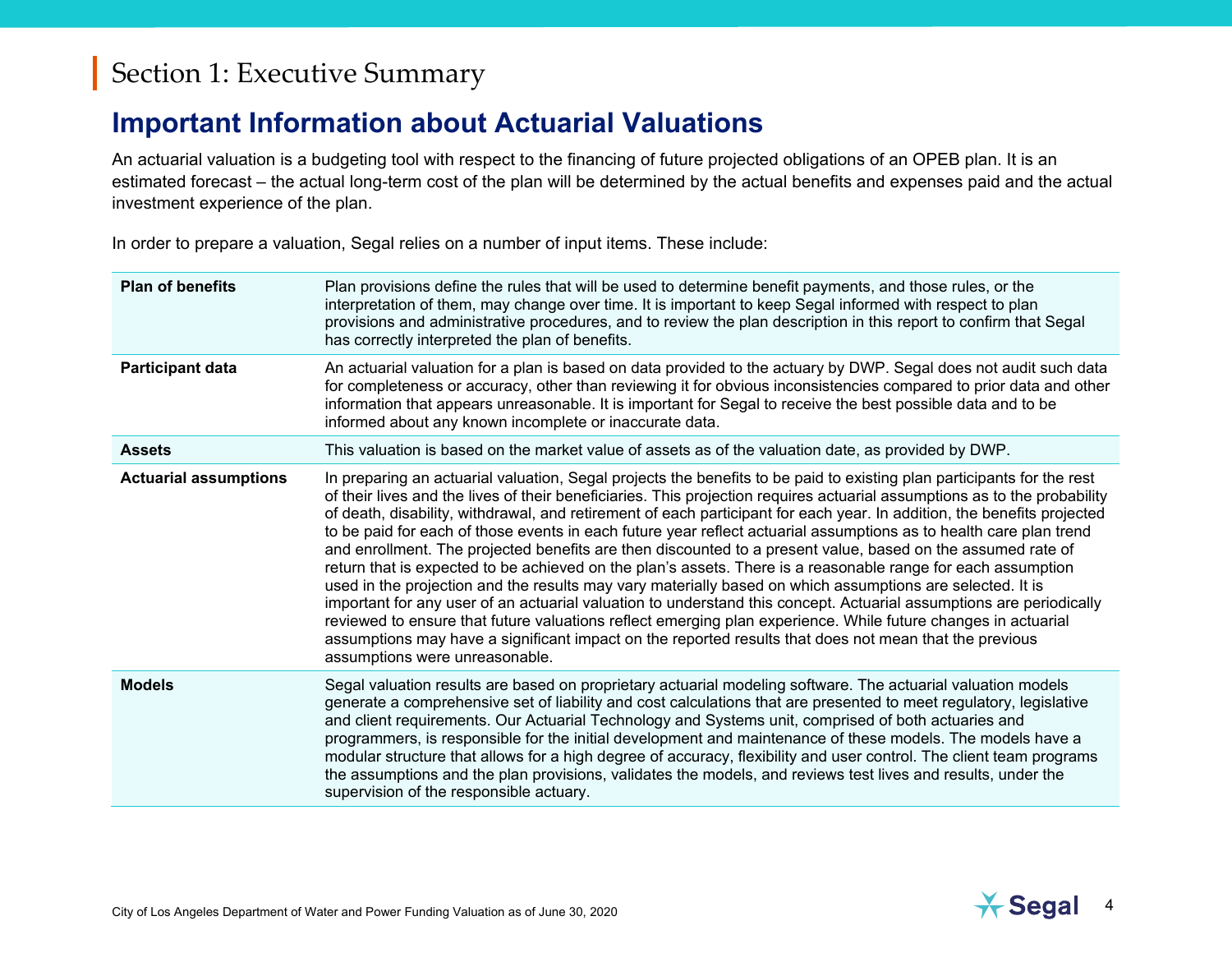#### <span id="page-6-0"></span>**Important Information about Actuarial Valuations**

An actuarial valuation is a budgeting tool with respect to the financing of future projected obligations of an OPEB plan. It is an estimated forecast – the actual long-term cost of the plan will be determined by the actual benefits and expenses paid and the actual investment experience of the plan.

In order to prepare a valuation, Segal relies on a number of input items. These include:

| <b>Plan of benefits</b>      | Plan provisions define the rules that will be used to determine benefit payments, and those rules, or the<br>interpretation of them, may change over time. It is important to keep Segal informed with respect to plan<br>provisions and administrative procedures, and to review the plan description in this report to confirm that Segal<br>has correctly interpreted the plan of benefits.                                                                                                                                                                                                                                                                                                                                                                                                                                                                                                                                                                                                                                                                                                                                                                                                                                       |
|------------------------------|--------------------------------------------------------------------------------------------------------------------------------------------------------------------------------------------------------------------------------------------------------------------------------------------------------------------------------------------------------------------------------------------------------------------------------------------------------------------------------------------------------------------------------------------------------------------------------------------------------------------------------------------------------------------------------------------------------------------------------------------------------------------------------------------------------------------------------------------------------------------------------------------------------------------------------------------------------------------------------------------------------------------------------------------------------------------------------------------------------------------------------------------------------------------------------------------------------------------------------------|
| <b>Participant data</b>      | An actuarial valuation for a plan is based on data provided to the actuary by DWP. Segal does not audit such data<br>for completeness or accuracy, other than reviewing it for obvious inconsistencies compared to prior data and other<br>information that appears unreasonable. It is important for Segal to receive the best possible data and to be<br>informed about any known incomplete or inaccurate data.                                                                                                                                                                                                                                                                                                                                                                                                                                                                                                                                                                                                                                                                                                                                                                                                                   |
| <b>Assets</b>                | This valuation is based on the market value of assets as of the valuation date, as provided by DWP.                                                                                                                                                                                                                                                                                                                                                                                                                                                                                                                                                                                                                                                                                                                                                                                                                                                                                                                                                                                                                                                                                                                                  |
| <b>Actuarial assumptions</b> | In preparing an actuarial valuation, Segal projects the benefits to be paid to existing plan participants for the rest<br>of their lives and the lives of their beneficiaries. This projection requires actuarial assumptions as to the probability<br>of death, disability, withdrawal, and retirement of each participant for each year. In addition, the benefits projected<br>to be paid for each of those events in each future year reflect actuarial assumptions as to health care plan trend<br>and enrollment. The projected benefits are then discounted to a present value, based on the assumed rate of<br>return that is expected to be achieved on the plan's assets. There is a reasonable range for each assumption<br>used in the projection and the results may vary materially based on which assumptions are selected. It is<br>important for any user of an actuarial valuation to understand this concept. Actuarial assumptions are periodically<br>reviewed to ensure that future valuations reflect emerging plan experience. While future changes in actuarial<br>assumptions may have a significant impact on the reported results that does not mean that the previous<br>assumptions were unreasonable. |
| <b>Models</b>                | Segal valuation results are based on proprietary actuarial modeling software. The actuarial valuation models<br>generate a comprehensive set of liability and cost calculations that are presented to meet regulatory, legislative<br>and client requirements. Our Actuarial Technology and Systems unit, comprised of both actuaries and<br>programmers, is responsible for the initial development and maintenance of these models. The models have a<br>modular structure that allows for a high degree of accuracy, flexibility and user control. The client team programs<br>the assumptions and the plan provisions, validates the models, and reviews test lives and results, under the<br>supervision of the responsible actuary.                                                                                                                                                                                                                                                                                                                                                                                                                                                                                            |

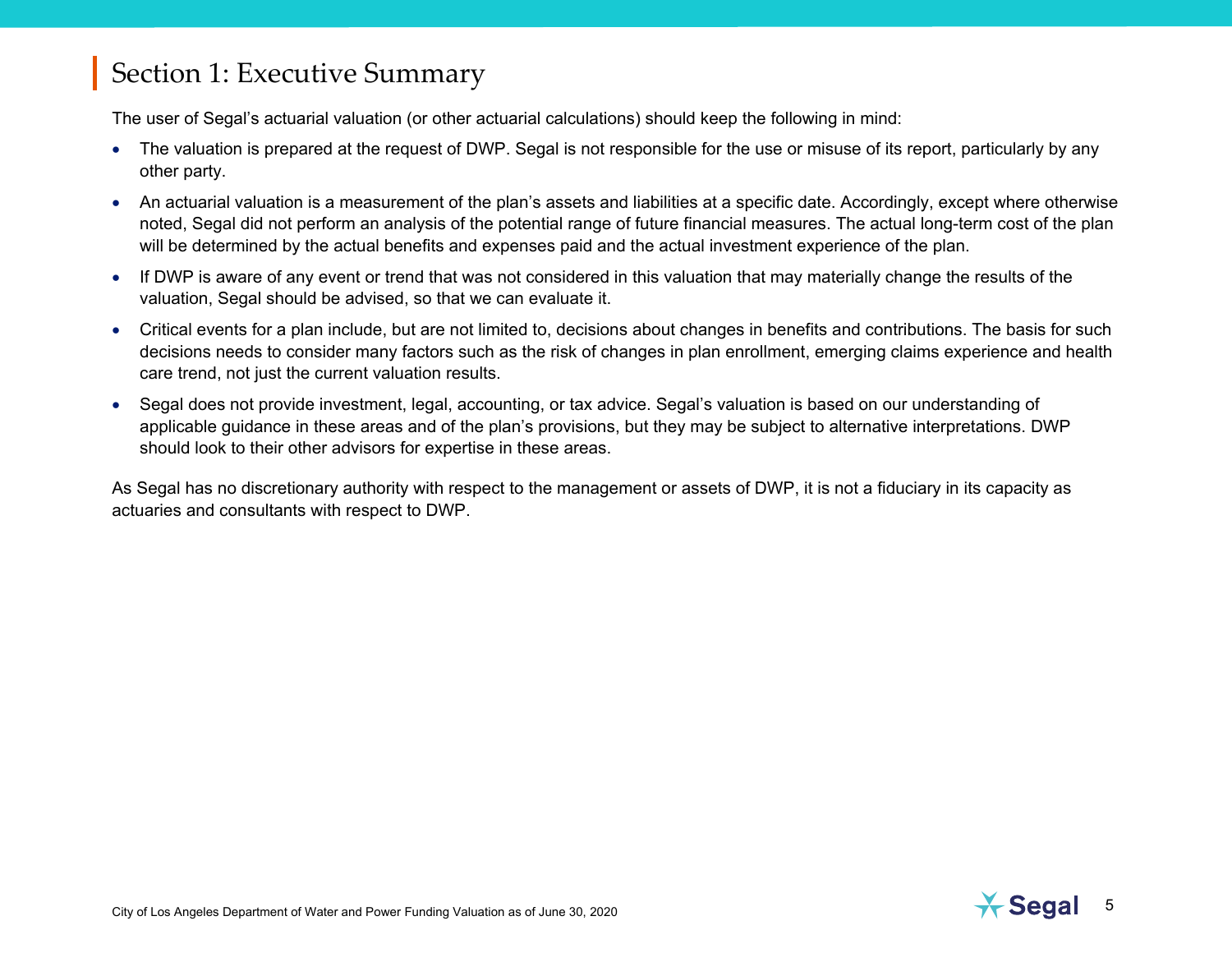The user of Segal's actuarial valuation (or other actuarial calculations) should keep the following in mind:

- The valuation is prepared at the request of DWP. Segal is not responsible for the use or misuse of its report, particularly by any other party.
- An actuarial valuation is a measurement of the plan's assets and liabilities at a specific date. Accordingly, except where otherwise noted, Segal did not perform an analysis of the potential range of future financial measures. The actual long-term cost of the plan will be determined by the actual benefits and expenses paid and the actual investment experience of the plan.
- If DWP is aware of any event or trend that was not considered in this valuation that may materially change the results of the valuation, Segal should be advised, so that we can evaluate it.
- Critical events for a plan include, but are not limited to, decisions about changes in benefits and contributions. The basis for such decisions needs to consider many factors such as the risk of changes in plan enrollment, emerging claims experience and health care trend, not just the current valuation results.
- Segal does not provide investment, legal, accounting, or tax advice. Segal's valuation is based on our understanding of applicable guidance in these areas and of the plan's provisions, but they may be subject to alternative interpretations. DWP should look to their other advisors for expertise in these areas.

As Segal has no discretionary authority with respect to the management or assets of DWP, it is not a fiduciary in its capacity as actuaries and consultants with respect to DWP.

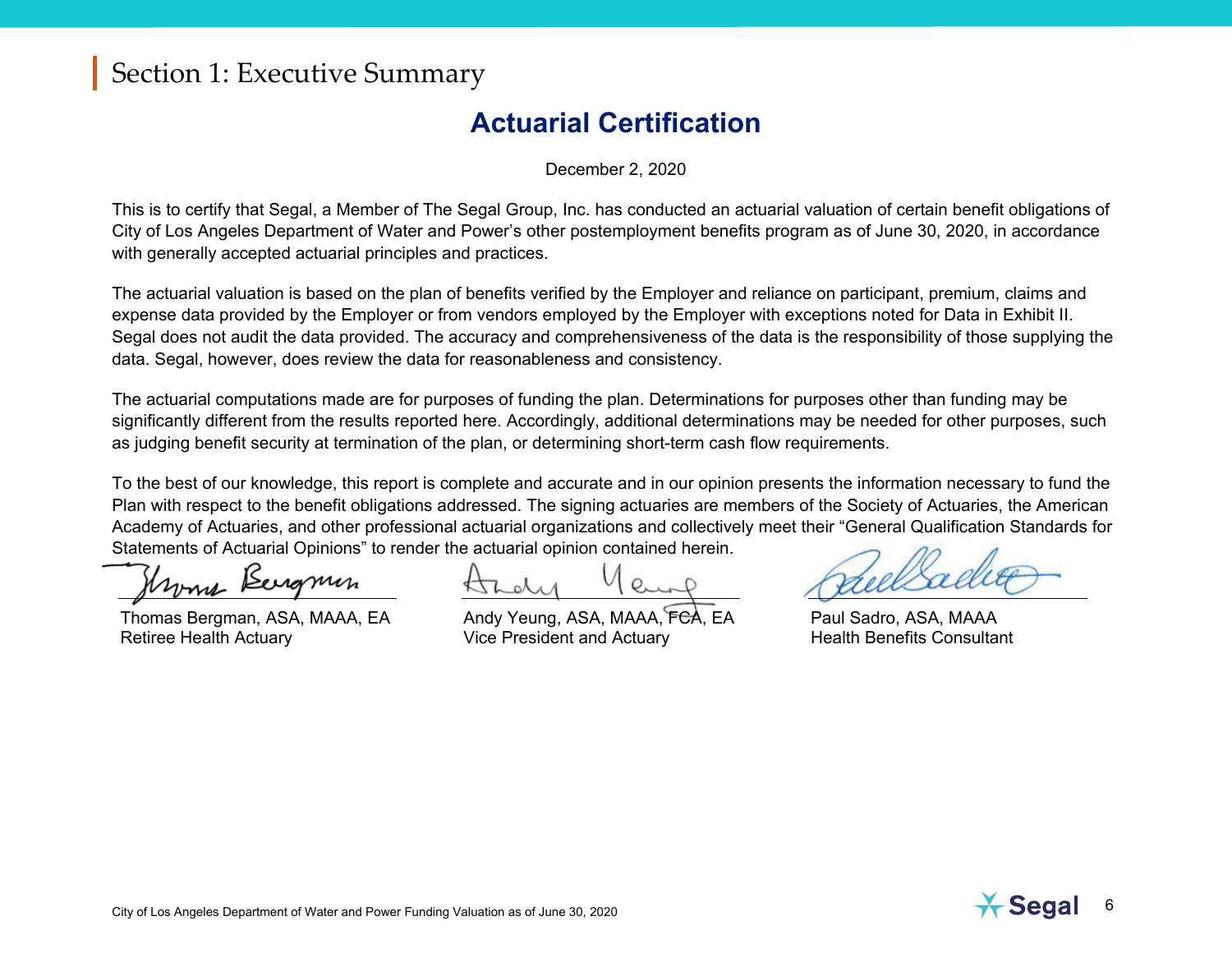#### **Actuarial Certification**

December 2, 2020

<span id="page-8-0"></span>This is to certify that Segal, a Member of The Segal Group, Inc. has conducted an actuarial valuation of certain benefit obligations of City of Los Angeles Department of Water and Power's other postemployment benefits program as of June 30, 2020, in accordance with generally accepted actuarial principles and practices.

The actuarial valuation is based on the plan of benefits verified by the Employer and reliance on participant, premium, claims and expense data provided by the Employer or from vendors employed by the Employer with exceptions noted for Data in Exhibit II. Segal does not audit the data provided. The accuracy and comprehensiveness of the data is the responsibility of those supplying the data. Segal, however, does review the data for reasonableness and consistency.

The actuarial computations made are for purposes of funding the plan. Determinations for purposes other than funding may be significantly different from the results reported here. Accordingly, additional determinations may be needed for other purposes, such as judging benefit security at termination of the plan, or determining short-term cash flow requirements.

To the best of our knowledge, this report is complete and accurate and in our opinion presents the information necessary to fund the Plan with respect to the benefit obligations addressed. The signing actuaries are members of the Society of Actuaries, the American Academy of Actuaries, and other professional actuarial organizations and collectively meet their "General Qualification Standards for Statements of Actuarial Opinions" to render the actuarial opinion contained herein.

nome Bergmin

Thomas Bergman, ASA, MAAA, EA Retiree Health Actuary

Andy Yeung, ASA, MAAA, FCA, EA Vice President and Actuary

Paul Sadro, ASA, MAAA Health Benefits Consultant

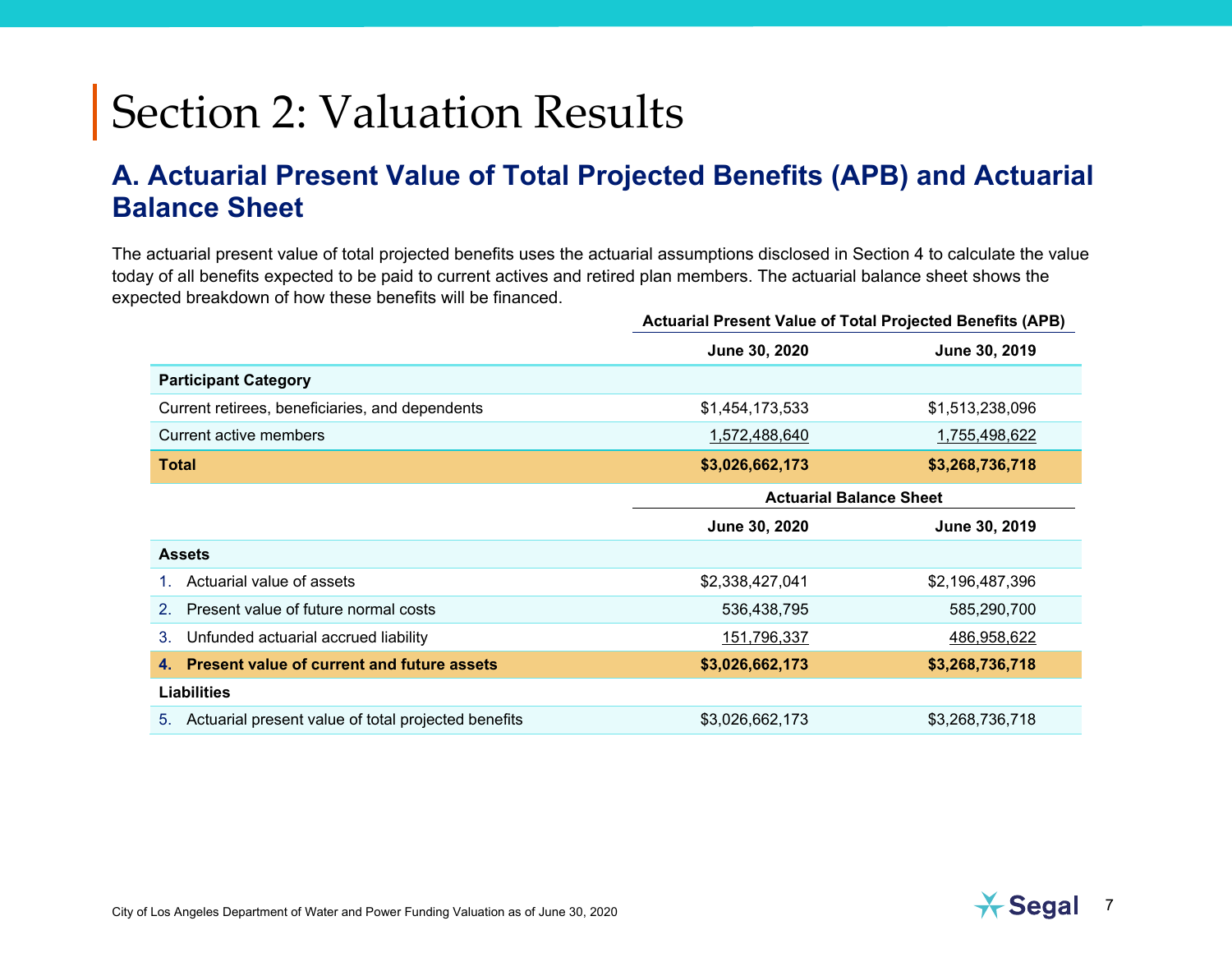#### <span id="page-9-1"></span><span id="page-9-0"></span>**A. Actuarial Present Value of Total Projected Benefits (APB) and Actuarial Balance Sheet**

The actuarial present value of total projected benefits uses the actuarial assumptions disclosed in Section 4 to calculate the value today of all benefits expected to be paid to current actives and retired plan members. The actuarial balance sheet shows the expected breakdown of how these benefits will be financed.

|                                                           | Actuarial Present Value of Total Projected Benefits (APB) |                 |  |  |
|-----------------------------------------------------------|-----------------------------------------------------------|-----------------|--|--|
|                                                           | June 30, 2020                                             | June 30, 2019   |  |  |
| <b>Participant Category</b>                               |                                                           |                 |  |  |
| Current retirees, beneficiaries, and dependents           | \$1,454,173,533                                           | \$1,513,238,096 |  |  |
| Current active members                                    | 1,572,488,640                                             | 1,755,498,622   |  |  |
| <b>Total</b>                                              | \$3,026,662,173                                           | \$3,268,736,718 |  |  |
|                                                           | <b>Actuarial Balance Sheet</b>                            |                 |  |  |
|                                                           | June 30, 2020                                             | June 30, 2019   |  |  |
| <b>Assets</b>                                             |                                                           |                 |  |  |
| Actuarial value of assets                                 | \$2,338,427,041                                           | \$2,196,487,396 |  |  |
| Present value of future normal costs<br>$2_{-}$           | 536,438,795                                               | 585,290,700     |  |  |
| Unfunded actuarial accrued liability<br>3.                | 151,796,337                                               | 486,958,622     |  |  |
| <b>Present value of current and future assets</b><br>4.   | \$3,026,662,173                                           | \$3,268,736,718 |  |  |
| <b>Liabilities</b>                                        |                                                           |                 |  |  |
| Actuarial present value of total projected benefits<br>5. | \$3,026,662,173                                           | \$3,268,736,718 |  |  |

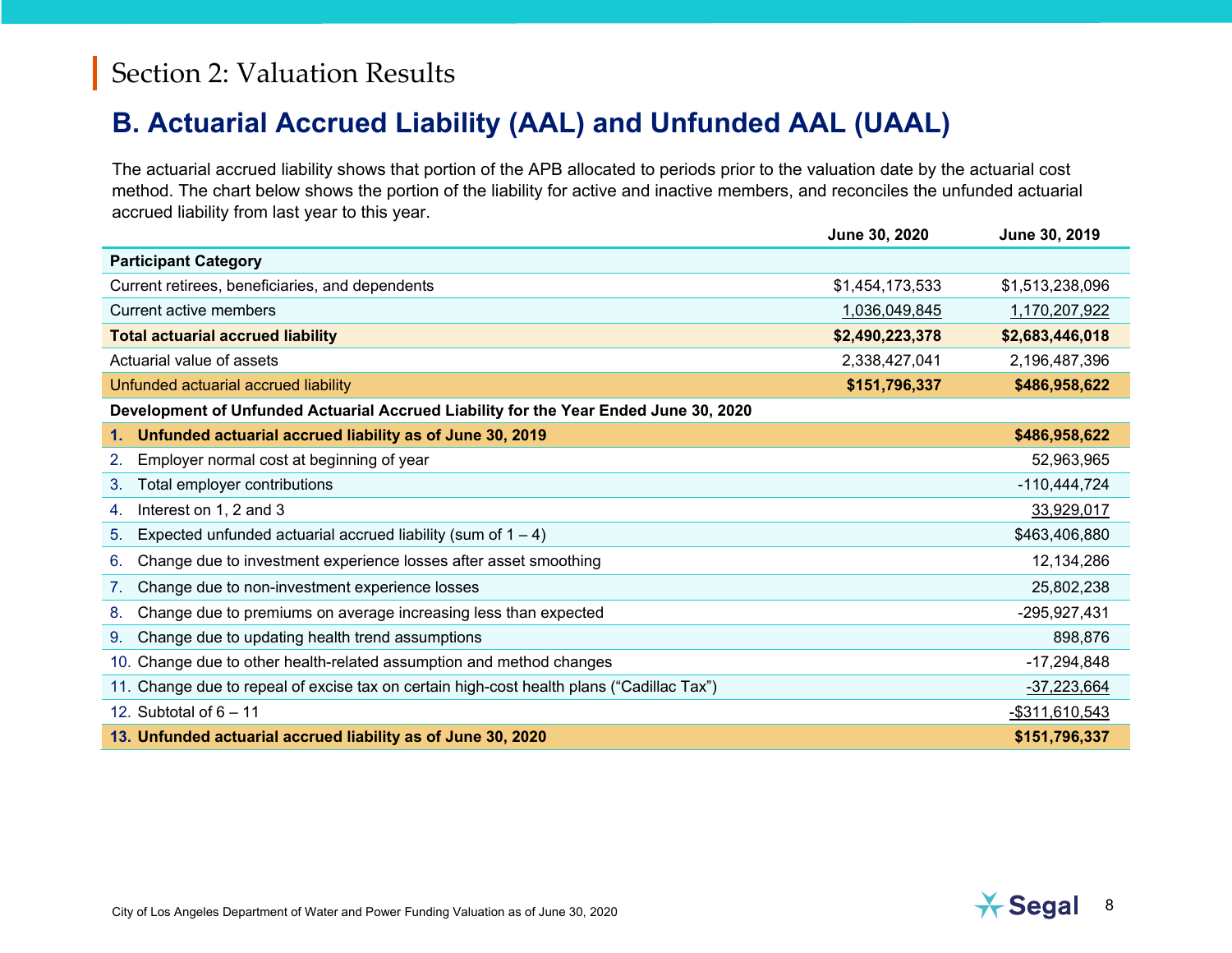#### <span id="page-10-0"></span>**B. Actuarial Accrued Liability (AAL) and Unfunded AAL (UAAL)**

The actuarial accrued liability shows that portion of the APB allocated to periods prior to the valuation date by the actuarial cost method. The chart below shows the portion of the liability for active and inactive members, and reconciles the unfunded actuarial accrued liability from last year to this year.

|                                                                                           | <b>June 30, 2020</b> | <b>June 30, 2019</b> |
|-------------------------------------------------------------------------------------------|----------------------|----------------------|
| <b>Participant Category</b>                                                               |                      |                      |
| Current retirees, beneficiaries, and dependents                                           | \$1,454,173,533      | \$1,513,238,096      |
| <b>Current active members</b>                                                             | 1,036,049,845        | 1,170,207,922        |
| <b>Total actuarial accrued liability</b>                                                  | \$2,490,223,378      | \$2,683,446,018      |
| Actuarial value of assets                                                                 | 2,338,427,041        | 2,196,487,396        |
| Unfunded actuarial accrued liability                                                      | \$151,796,337        | \$486,958,622        |
| Development of Unfunded Actuarial Accrued Liability for the Year Ended June 30, 2020      |                      |                      |
| Unfunded actuarial accrued liability as of June 30, 2019<br>1. .                          |                      | \$486,958,622        |
| Employer normal cost at beginning of year<br>2.                                           |                      | 52,963,965           |
| Total employer contributions<br>3.                                                        |                      | $-110,444,724$       |
| Interest on 1, 2 and 3<br>4.                                                              |                      | 33,929,017           |
| Expected unfunded actuarial accrued liability (sum of $1 - 4$ )<br>5.                     |                      | \$463,406,880        |
| Change due to investment experience losses after asset smoothing<br>6.                    |                      | 12,134,286           |
| Change due to non-investment experience losses<br>7.                                      |                      | 25,802,238           |
| Change due to premiums on average increasing less than expected<br>8.                     |                      | -295,927,431         |
| Change due to updating health trend assumptions<br>9.                                     |                      | 898,876              |
| 10. Change due to other health-related assumption and method changes                      |                      | $-17,294,848$        |
| 11. Change due to repeal of excise tax on certain high-cost health plans ("Cadillac Tax") |                      | $-37,223,664$        |
| 12. Subtotal of $6 - 11$                                                                  |                      | -\$311,610,543       |
| 13. Unfunded actuarial accrued liability as of June 30, 2020                              |                      | \$151,796,337        |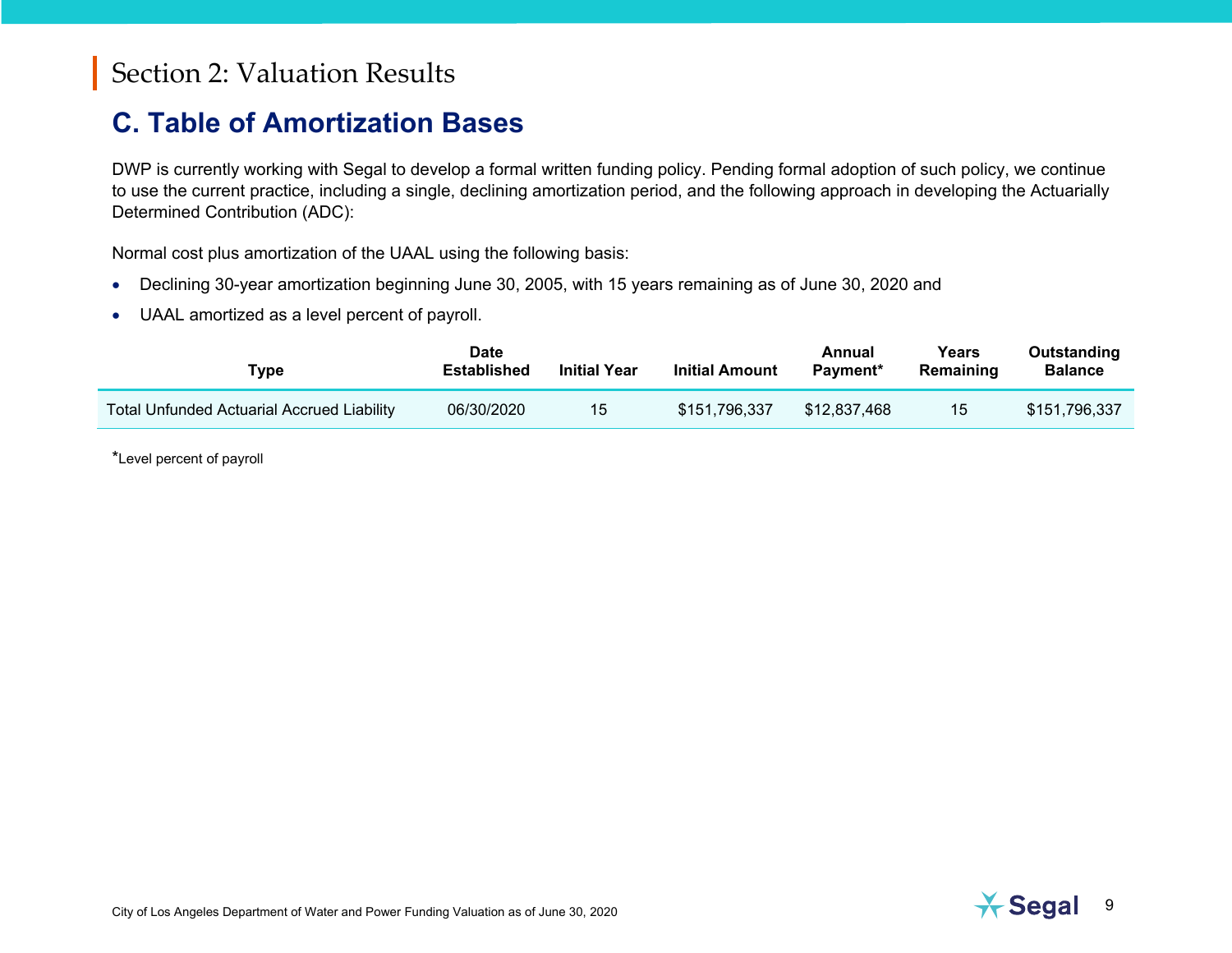#### <span id="page-11-0"></span>**C. Table of Amortization Bases**

DWP is currently working with Segal to develop a formal written funding policy. Pending formal adoption of such policy, we continue to use the current practice, including a single, declining amortization period, and the following approach in developing the Actuarially Determined Contribution (ADC):

Normal cost plus amortization of the UAAL using the following basis:

- Declining 30-year amortization beginning June 30, 2005, with 15 years remaining as of June 30, 2020 and
- UAAL amortized as a level percent of payroll.

| Type                                       | <b>Date</b><br>Established | <b>Initial Year</b> | <b>Initial Amount</b> | Annual<br>Payment* | Years<br>Remaining | Outstanding<br>Balance |
|--------------------------------------------|----------------------------|---------------------|-----------------------|--------------------|--------------------|------------------------|
| Total Unfunded Actuarial Accrued Liability | 06/30/2020                 | 15                  | \$151,796,337         | \$12.837.468       | 15                 | \$151,796,337          |

\*Level percent of payroll

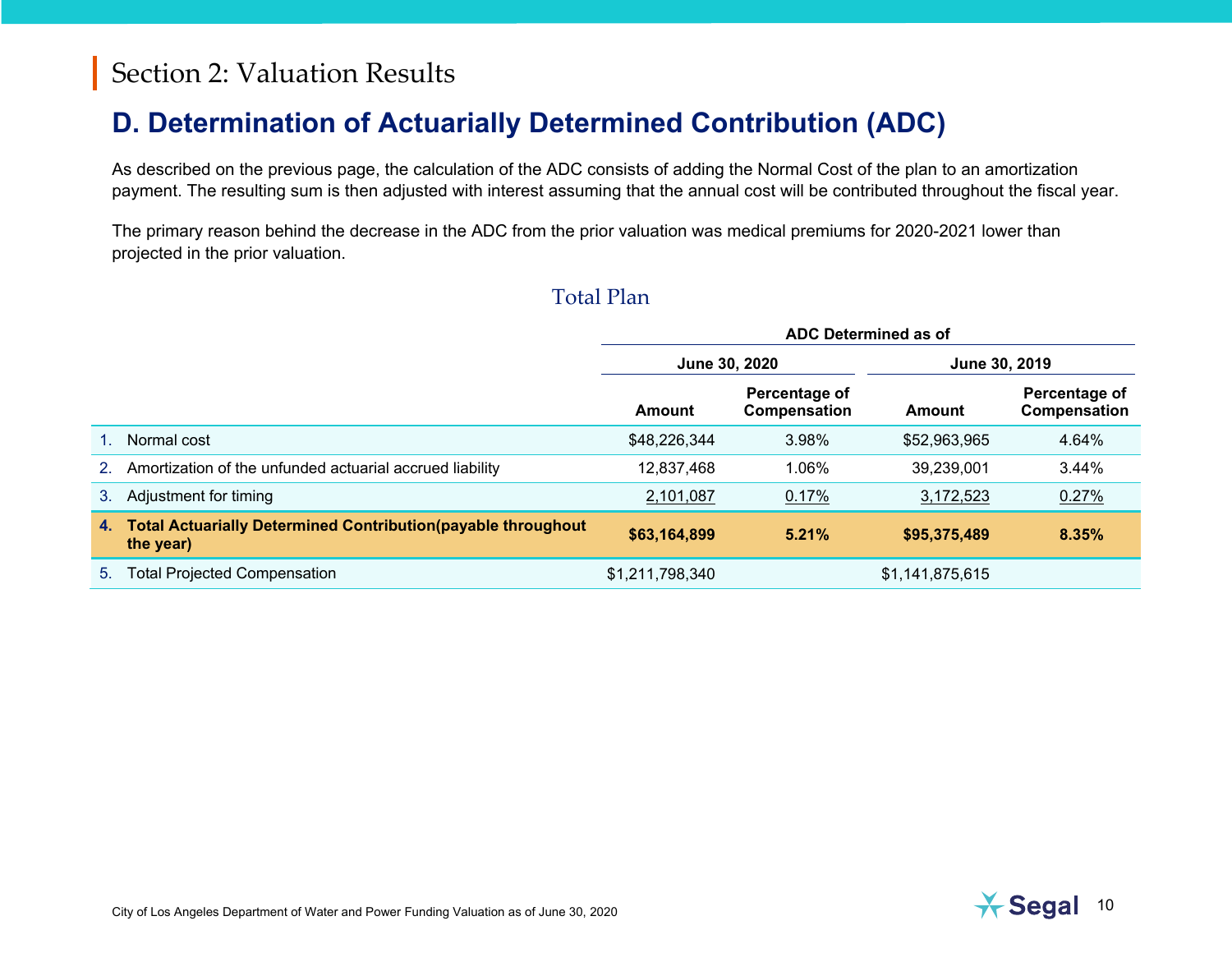#### <span id="page-12-0"></span>**D. Determination of Actuarially Determined Contribution (ADC)**

As described on the previous page, the calculation of the ADC consists of adding the Normal Cost of the plan to an amortization payment. The resulting sum is then adjusted with interest assuming that the annual cost will be contributed throughout the fiscal year.

The primary reason behind the decrease in the ADC from the prior valuation was medical premiums for 2020-2021 lower than projected in the prior valuation.

#### Total Plan

|                |                                                                                  | ADC Determined as of |                               |                 |                               |
|----------------|----------------------------------------------------------------------------------|----------------------|-------------------------------|-----------------|-------------------------------|
|                |                                                                                  |                      | June 30, 2020                 |                 | June 30, 2019                 |
|                |                                                                                  | Amount               | Percentage of<br>Compensation | Amount          | Percentage of<br>Compensation |
|                | Normal cost                                                                      | \$48,226,344         | 3.98%                         | \$52,963,965    | 4.64%                         |
| 2 <sub>1</sub> | Amortization of the unfunded actuarial accrued liability                         | 12,837,468           | 1.06%                         | 39,239,001      | 3.44%                         |
| 3.             | Adjustment for timing                                                            | 2,101,087            | 0.17%                         | 3,172,523       | $0.27\%$                      |
| 4.             | <b>Total Actuarially Determined Contribution(payable throughout</b><br>the year) | \$63,164,899         | 5.21%                         | \$95,375,489    | 8.35%                         |
| 5.             | <b>Total Projected Compensation</b>                                              | \$1,211,798,340      |                               | \$1,141,875,615 |                               |

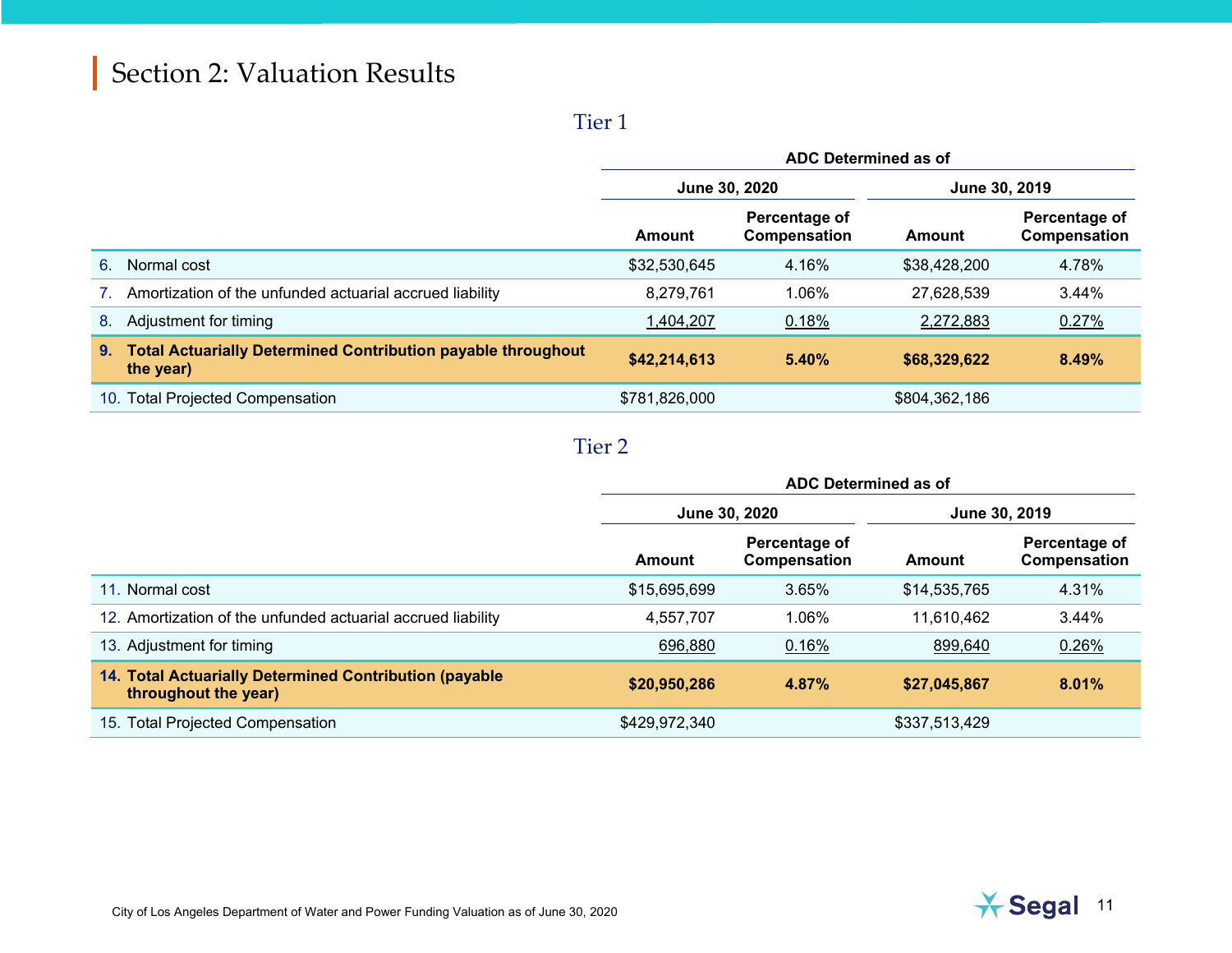#### Tier 1

|     |                                                                                  | ADC Determined as of |                                |               |                               |
|-----|----------------------------------------------------------------------------------|----------------------|--------------------------------|---------------|-------------------------------|
|     |                                                                                  |                      | June 30, 2020<br>June 30, 2019 |               |                               |
|     |                                                                                  | Amount               | Percentage of<br>Compensation  | Amount        | Percentage of<br>Compensation |
| 6.  | Normal cost                                                                      | \$32,530,645         | 4.16%                          | \$38,428,200  | 4.78%                         |
|     | Amortization of the unfunded actuarial accrued liability                         | 8,279,761            | 1.06%                          | 27,628,539    | 3.44%                         |
| 8.  | Adjustment for timing                                                            | 1,404,207            | 0.18%                          | 2,272,883     | 0.27%                         |
| 9.  | <b>Total Actuarially Determined Contribution payable throughout</b><br>the year) | \$42,214,613         | 5.40%                          | \$68,329,622  | 8.49%                         |
| 10. | <b>Total Projected Compensation</b>                                              | \$781,826,000        |                                | \$804,362,186 |                               |

#### Tier 2

|                                                                                | ADC Determined as of |                               |               |                               |
|--------------------------------------------------------------------------------|----------------------|-------------------------------|---------------|-------------------------------|
|                                                                                | June 30, 2020        |                               | June 30, 2019 |                               |
|                                                                                | Amount               | Percentage of<br>Compensation | Amount        | Percentage of<br>Compensation |
| 11. Normal cost                                                                | \$15,695,699         | 3.65%                         | \$14,535,765  | 4.31%                         |
| 12. Amortization of the unfunded actuarial accrued liability                   | 4,557,707            | 1.06%                         | 11,610,462    | 3.44%                         |
| 13. Adjustment for timing                                                      | 696,880              | 0.16%                         | 899,640       | 0.26%                         |
| 14. Total Actuarially Determined Contribution (payable<br>throughout the year) | \$20,950,286         | 4.87%                         | \$27,045,867  | 8.01%                         |
| 15. Total Projected Compensation                                               | \$429,972,340        |                               | \$337,513,429 |                               |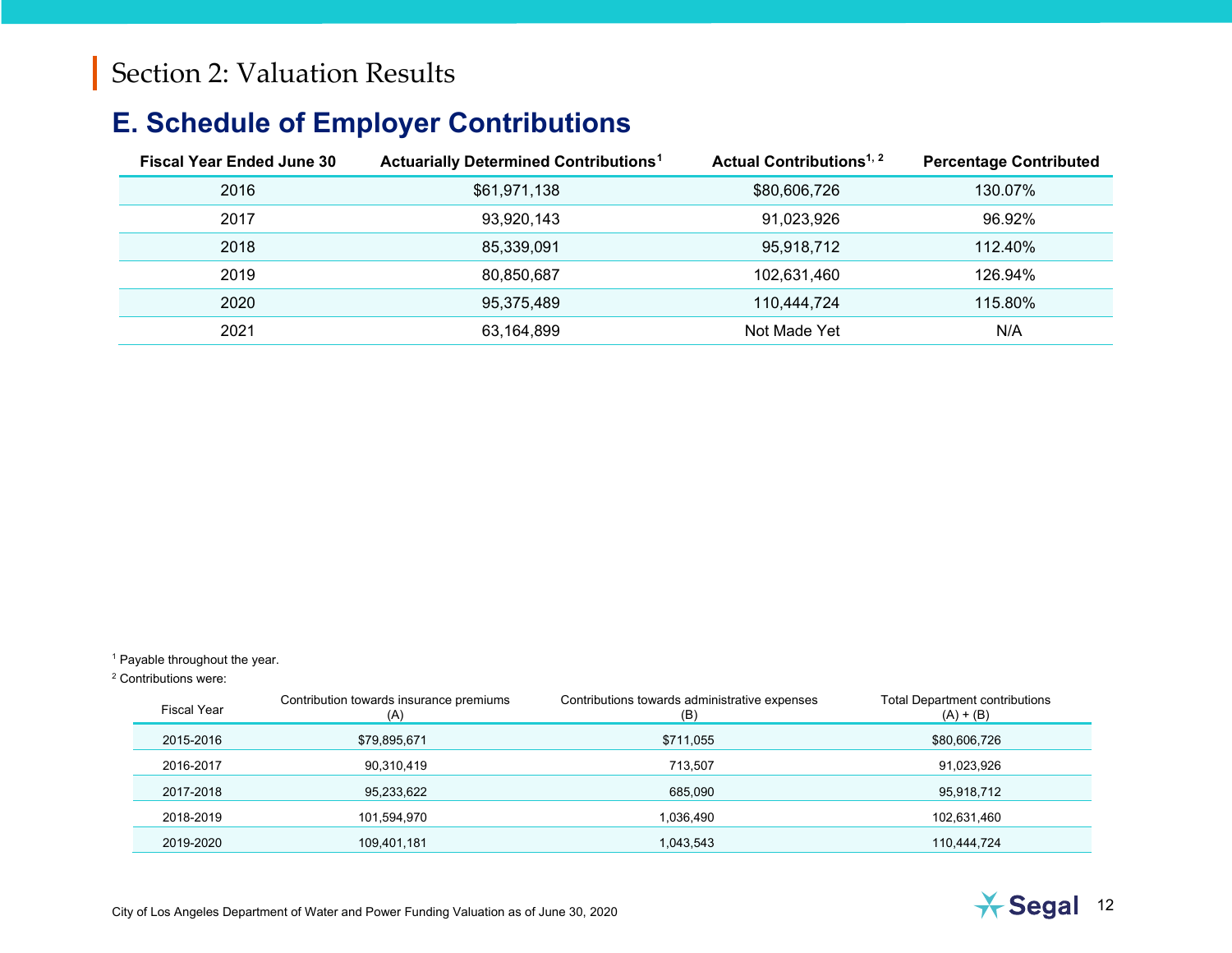#### <span id="page-14-2"></span><span id="page-14-1"></span><span id="page-14-0"></span>**E. Schedule of Employer Contributions**

| <b>Fiscal Year Ended June 30</b> | <b>Actuarially Determined Contributions<sup>1</sup></b> | Actual Contributions <sup>1, 2</sup> | <b>Percentage Contributed</b> |
|----------------------------------|---------------------------------------------------------|--------------------------------------|-------------------------------|
| 2016                             | \$61,971,138                                            | \$80,606,726                         | 130.07%                       |
| 2017                             | 93,920,143                                              | 91.023.926                           | 96.92%                        |
| 2018                             | 85,339,091                                              |                                      | 112.40%                       |
| 2019                             | 80,850,687                                              |                                      | 126.94%                       |
| 2020                             | 95,375,489                                              | 110.444.724                          | 115.80%                       |
| 2021                             | 63,164,899                                              | Not Made Yet                         | N/A                           |

<sup>1</sup> Payable throughout the year.

<sup>2</sup> Contributions were:

| <b>Fiscal Year</b> | Contribution towards insurance premiums<br>(A) | Contributions towards administrative expenses<br>(B) | <b>Total Department contributions</b><br>$(A) + (B)$ |
|--------------------|------------------------------------------------|------------------------------------------------------|------------------------------------------------------|
| 2015-2016          | \$79,895,671                                   | \$711,055                                            | \$80,606,726                                         |
| 2016-2017          | 90,310,419                                     | 713.507                                              | 91,023,926                                           |
| 2017-2018          | 95,233,622                                     | 685,090                                              | 95,918,712                                           |
| 2018-2019          | 101,594,970                                    | 1,036,490                                            | 102,631,460                                          |
| 2019-2020          | 109,401,181                                    | 1,043,543                                            | 110,444,724                                          |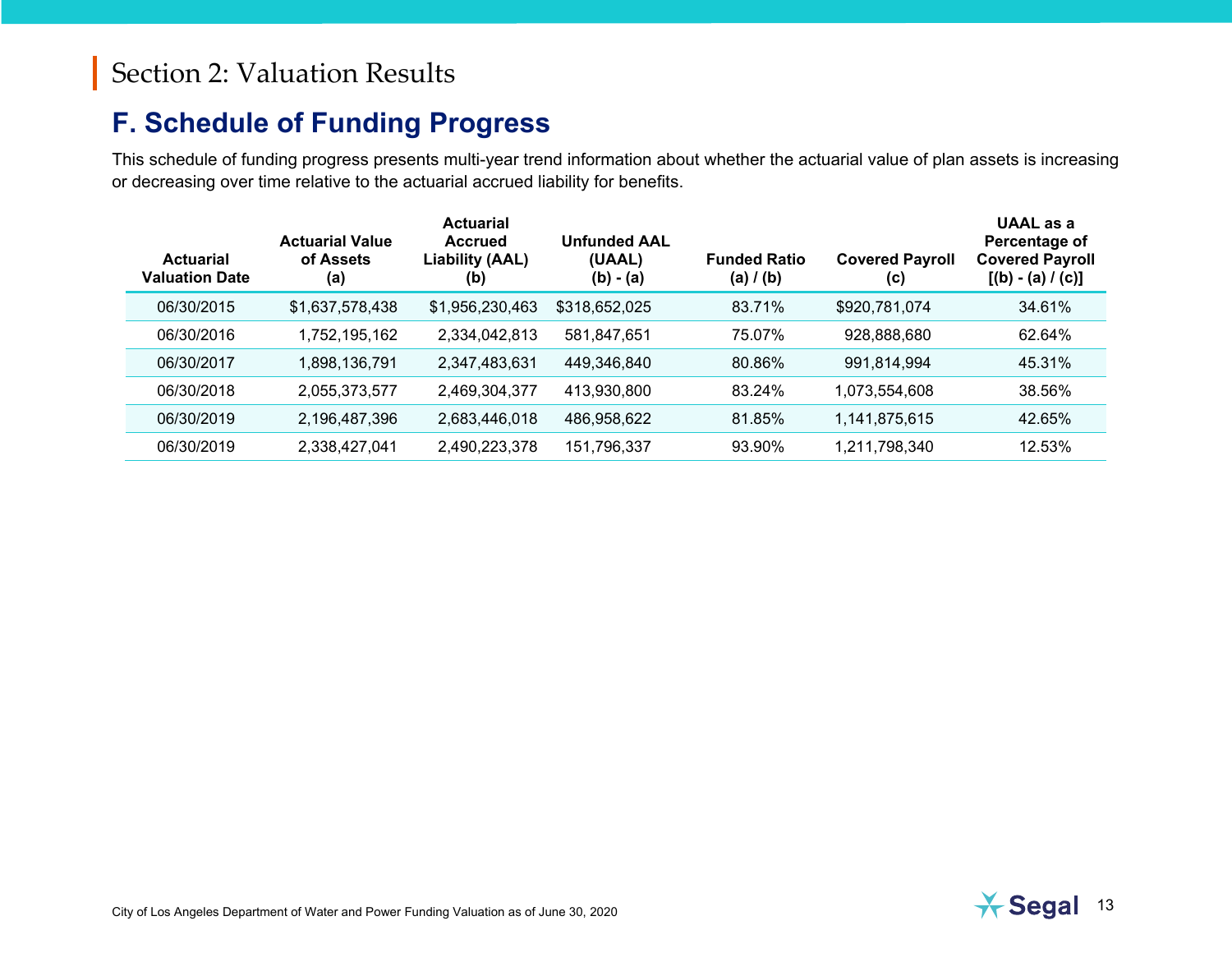#### <span id="page-15-0"></span>**F. Schedule of Funding Progress**

This schedule of funding progress presents multi-year trend information about whether the actuarial value of plan assets is increasing or decreasing over time relative to the actuarial accrued liability for benefits.

| <b>Actuarial</b><br><b>Valuation Date</b> | <b>Actuarial Value</b><br>of Assets<br>(a) | <b>Actuarial</b><br><b>Accrued</b><br><b>Liability (AAL)</b><br>(b) | <b>Unfunded AAL</b><br>(UAAL)<br>(b) - (a) | <b>Funded Ratio</b><br>(a) $/$ (b) | <b>Covered Payroll</b><br>(c) | <b>UAAL</b> as a<br>Percentage of<br><b>Covered Payroll</b><br>$[(b) - (a) / (c)]$ |
|-------------------------------------------|--------------------------------------------|---------------------------------------------------------------------|--------------------------------------------|------------------------------------|-------------------------------|------------------------------------------------------------------------------------|
| 06/30/2015                                | \$1,637,578,438                            | \$1,956,230,463                                                     | \$318,652,025                              | 83.71%                             | \$920,781,074                 | 34.61%                                                                             |
| 06/30/2016                                | 1,752,195,162                              | 2,334,042,813                                                       | 581,847,651                                | 75.07%                             | 928,888,680                   | 62.64%                                                                             |
| 06/30/2017                                | 1,898,136,791                              | 2,347,483,631                                                       | 449,346,840                                | 80.86%                             | 991,814,994                   | 45.31%                                                                             |
| 06/30/2018                                | 2,055,373,577                              | 2,469,304,377                                                       | 413,930,800                                | 83.24%                             | 1,073,554,608                 | 38.56%                                                                             |
| 06/30/2019                                | 2,196,487,396                              | 2,683,446,018                                                       | 486,958,622                                | 81.85%                             | 1,141,875,615                 | 42.65%                                                                             |
| 06/30/2019                                | 2,338,427,041                              | 2,490,223,378                                                       | 151,796,337                                | 93.90%                             | 1,211,798,340                 | 12.53%                                                                             |

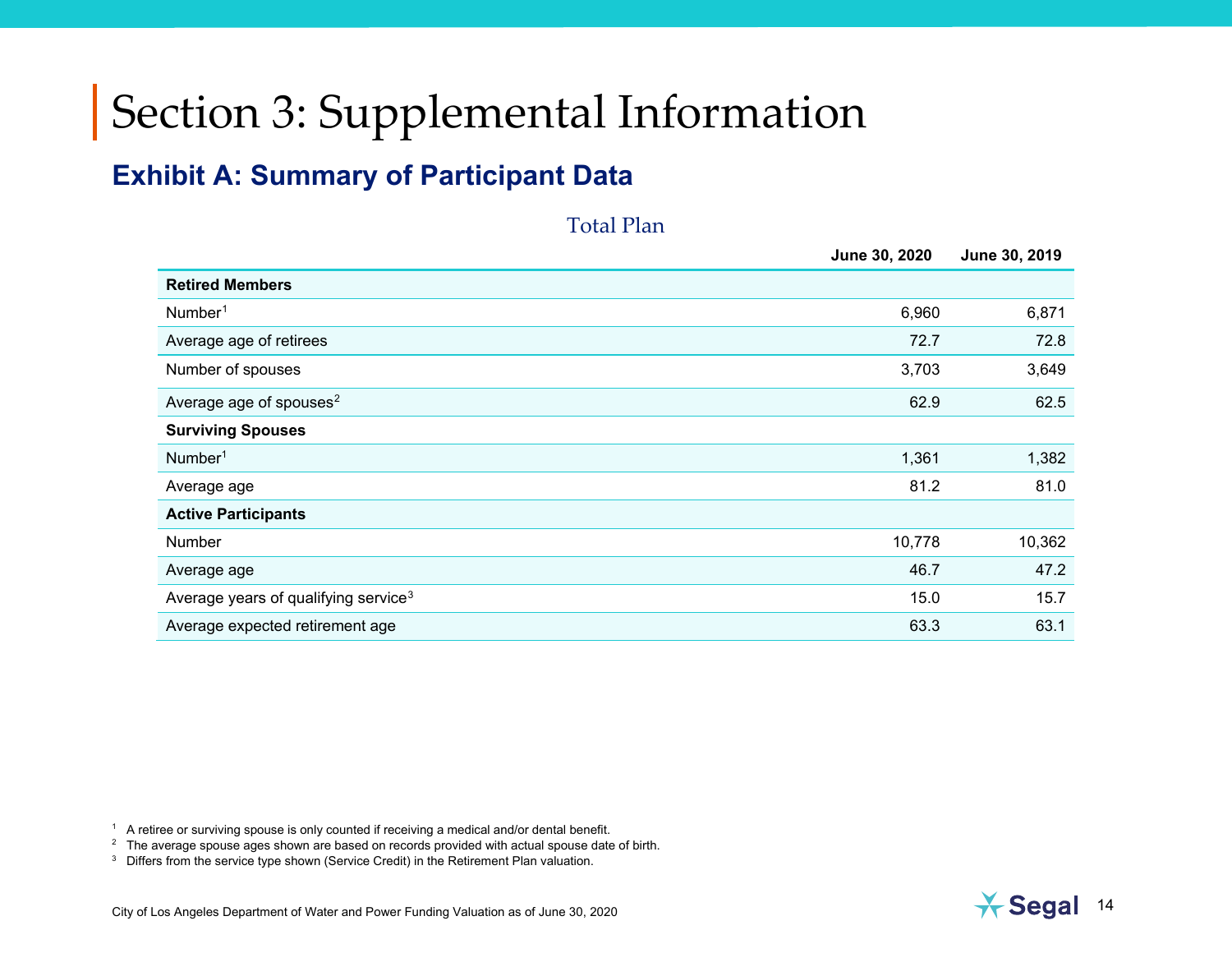# <span id="page-16-4"></span><span id="page-16-3"></span><span id="page-16-2"></span><span id="page-16-0"></span>Section 3: Supplemental Information

#### <span id="page-16-1"></span>**Exhibit A: Summary of Participant Data**

Total Plan **June 30, 2020 June 30, 2019 Retired Members**  $\blacksquare$ Number $^1$  $^1$  6,960 6,871 Average age of retirees 72.8 72.8 Number of spouses 3,649 Average age of spouses<sup>[2](#page-16-3)</sup> 62.5 62.5 **62.9** 62.5 **62.9** 62.5 **62.9** 62.5 **62.5** 62.5 **62.6** 62.5 **62.5** 62.5 **62.5** 62.5 **62.5** 62.5 **62.5** 62.5 **62.5** 62.5 **62.5** 62.5 **62.5 62.5 62.5 62.5 62.5 62.5 62.5 62. Surviving Spouses**  $\blacksquare$ Number $^1$  1,382 Average age 81.2 81.0 **Active Participants** Number 10,778 10,362 Average age  $46.7$   $47.2$ 

Average years of qualifying service<sup>[3](#page-16-4)</sup> 15.7 and the service of the service of the service of the service of the service of the service of the service of the service of the service of the service of the service of the servi Average expected retirement age 63.3 63.1

 $<sup>1</sup>$  A retiree or surviving spouse is only counted if receiving a medical and/or dental benefit.</sup>

 $2<sup>2</sup>$  The average spouse ages shown are based on records provided with actual spouse date of birth.

<sup>3</sup> Differs from the service type shown (Service Credit) in the Retirement Plan valuation.

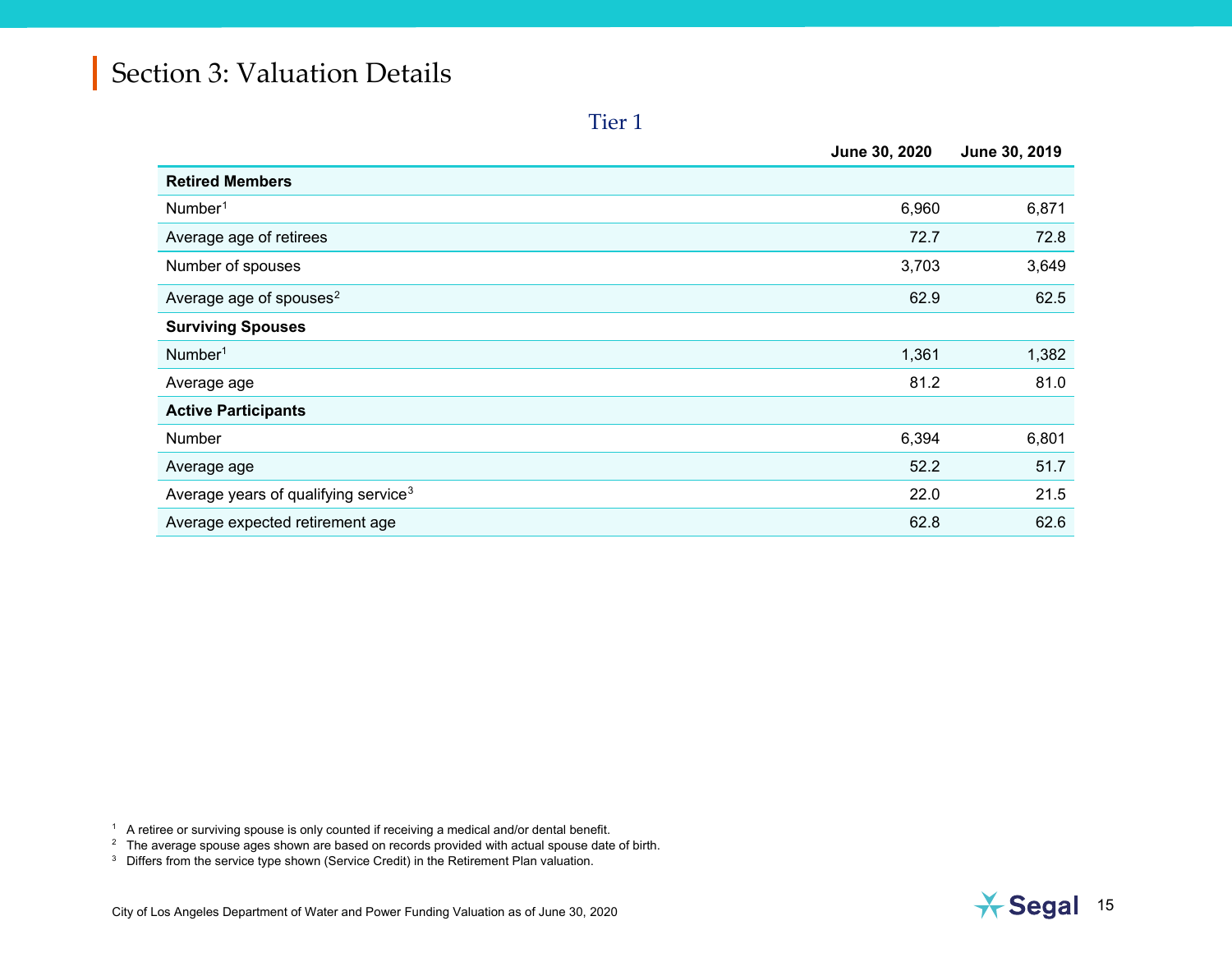<span id="page-17-2"></span><span id="page-17-1"></span><span id="page-17-0"></span>Tier 1

|                                                  | June 30, 2020 | June 30, 2019 |
|--------------------------------------------------|---------------|---------------|
| <b>Retired Members</b>                           |               |               |
| Number <sup>1</sup>                              | 6,960         | 6,871         |
| Average age of retirees                          | 72.7          | 72.8          |
| Number of spouses                                | 3,703         | 3,649         |
| Average age of spouses <sup>2</sup>              | 62.9          | 62.5          |
| <b>Surviving Spouses</b>                         |               |               |
| Number <sup>1</sup>                              | 1,361         | 1,382         |
| Average age                                      | 81.2          | 81.0          |
| <b>Active Participants</b>                       |               |               |
| Number                                           | 6,394         | 6,801         |
| Average age                                      | 52.2          | 51.7          |
| Average years of qualifying service <sup>3</sup> | 22.0          | 21.5          |
| Average expected retirement age                  | 62.8          | 62.6          |

 $^\mathrm{1}\,$  A retiree or surviving spouse is only counted if receiving a medical and/or dental benefit.

 $^\mathrm{2}~$  The average spouse ages shown are based on records provided with actual spouse date of birth.

<sup>3</sup> Differs from the service type shown (Service Credit) in the Retirement Plan valuation.

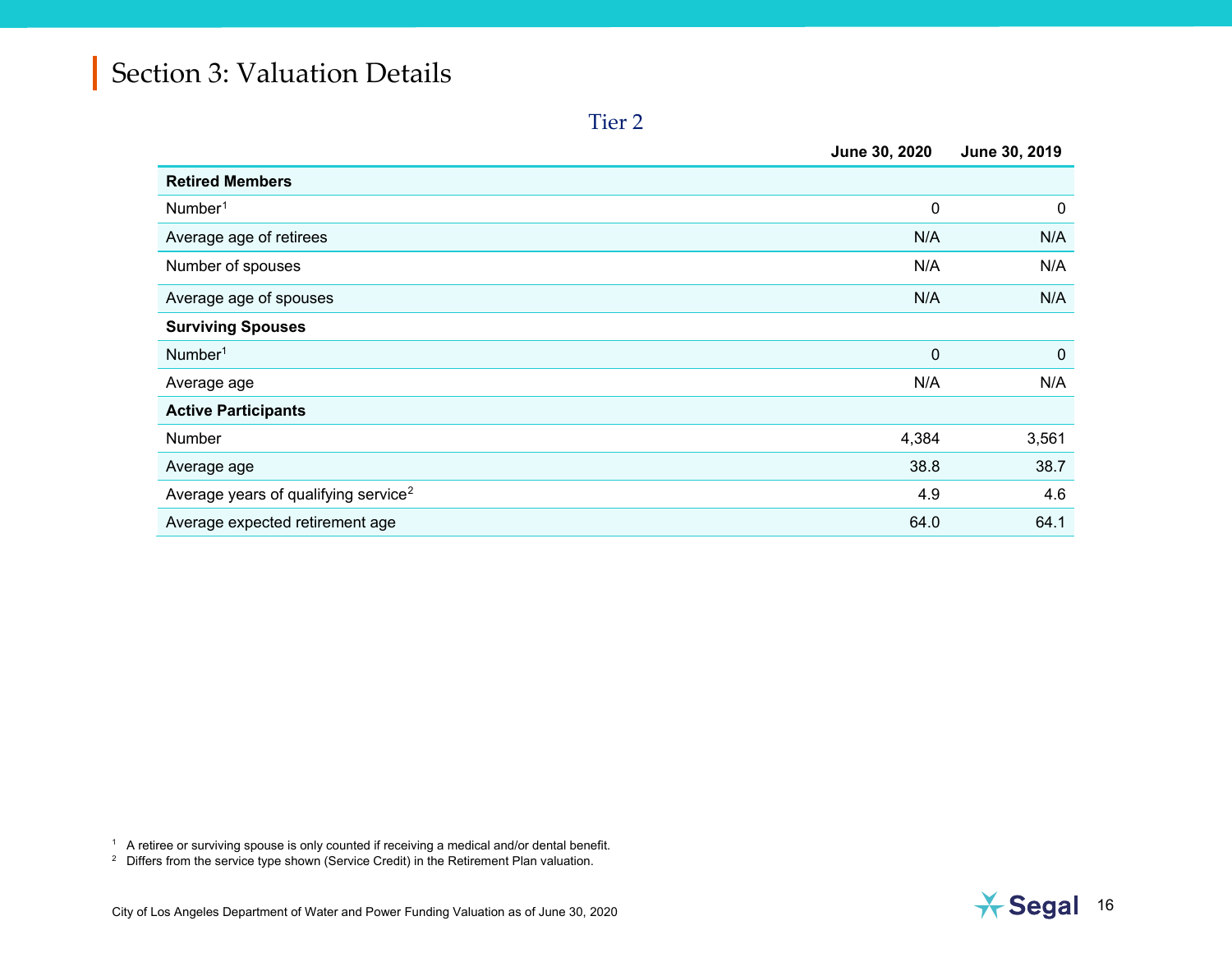<span id="page-18-1"></span><span id="page-18-0"></span>Tier 2

|                                                  | June 30, 2020 | June 30, 2019 |
|--------------------------------------------------|---------------|---------------|
| <b>Retired Members</b>                           |               |               |
| Number <sup>1</sup>                              | 0             | $\mathbf 0$   |
| Average age of retirees                          | N/A           | N/A           |
| Number of spouses                                | N/A           | N/A           |
| Average age of spouses                           | N/A           | N/A           |
| <b>Surviving Spouses</b>                         |               |               |
| Number <sup>1</sup>                              | 0             | $\mathbf 0$   |
| Average age                                      | N/A           | N/A           |
| <b>Active Participants</b>                       |               |               |
| Number                                           | 4,384         | 3,561         |
| Average age                                      | 38.8          | 38.7          |
| Average years of qualifying service <sup>2</sup> | 4.9           | 4.6           |
| Average expected retirement age                  | 64.0          | 64.1          |

 $^{\rm 1}\;$  A retiree or surviving spouse is only counted if receiving a medical and/or dental benefit.

 $2$  Differs from the service type shown (Service Credit) in the Retirement Plan valuation.

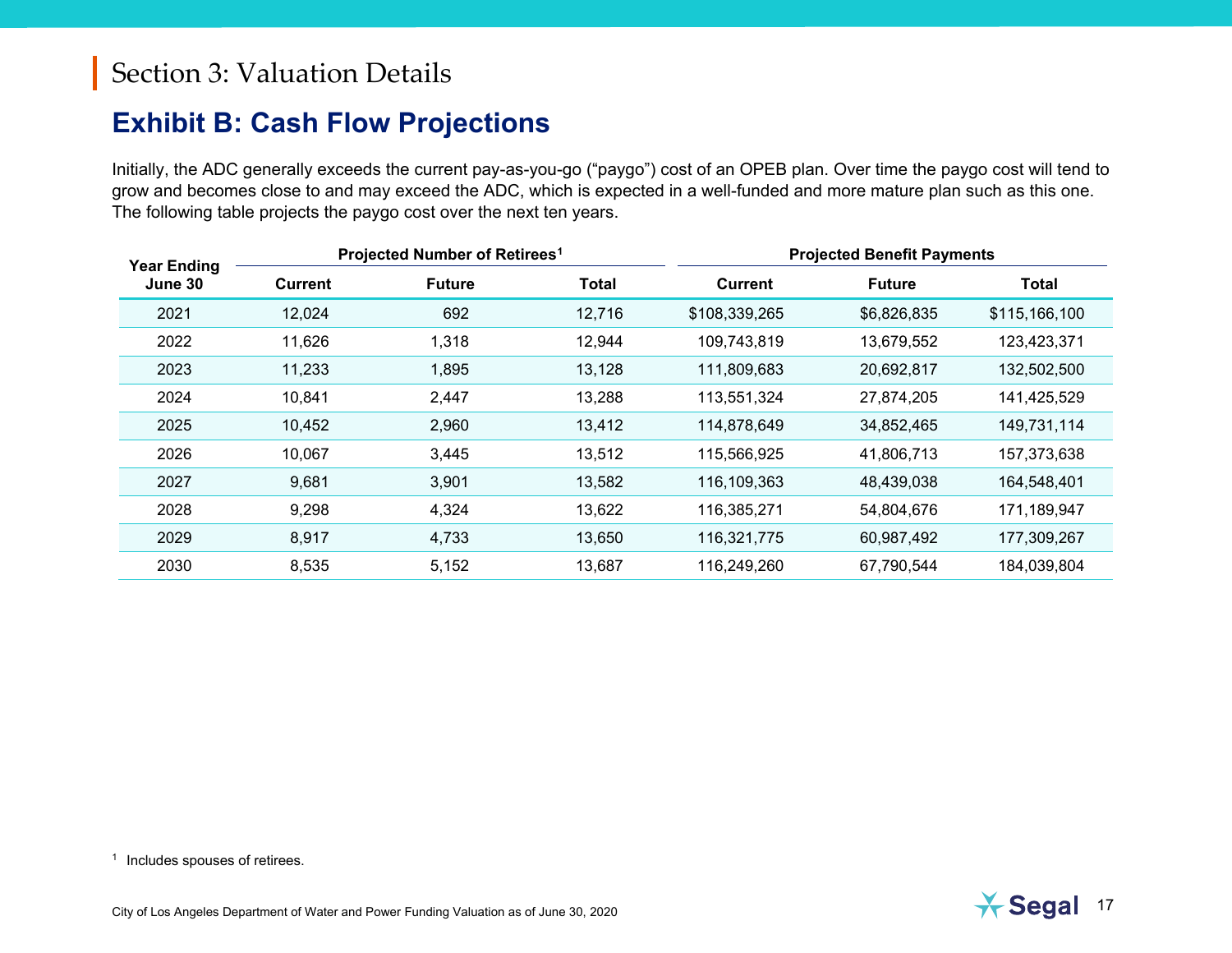#### <span id="page-19-1"></span><span id="page-19-0"></span>**Exhibit B: Cash Flow Projections**

Initially, the ADC generally exceeds the current pay-as-you-go ("paygo") cost of an OPEB plan. Over time the paygo cost will tend to grow and becomes close to and may exceed the ADC, which is expected in a well-funded and more mature plan such as this one. The following table projects the paygo cost over the next ten years.

| <b>Year Ending</b> |                | Projected Number of Retirees <sup>1</sup> |              |               | <b>Projected Benefit Payments</b> |               |
|--------------------|----------------|-------------------------------------------|--------------|---------------|-----------------------------------|---------------|
| June 30            | <b>Current</b> | <b>Future</b>                             | <b>Total</b> | Current       | <b>Future</b>                     | <b>Total</b>  |
| 2021               | 12,024         | 692                                       | 12,716       | \$108,339,265 | \$6,826,835                       | \$115,166,100 |
| 2022               | 11,626         | 1,318                                     | 12,944       | 109,743,819   | 13,679,552                        | 123,423,371   |
| 2023               | 11,233         | 1,895                                     | 13,128       | 111,809,683   | 20,692,817                        | 132,502,500   |
| 2024               | 10,841         | 2,447                                     | 13,288       | 113,551,324   | 27,874,205                        | 141,425,529   |
| 2025               | 10,452         | 2,960                                     | 13,412       | 114,878,649   | 34,852,465                        | 149,731,114   |
| 2026               | 10,067         | 3,445                                     | 13,512       | 115,566,925   | 41,806,713                        | 157,373,638   |
| 2027               | 9,681          | 3,901                                     | 13,582       | 116,109,363   | 48,439,038                        | 164,548,401   |
| 2028               | 9,298          | 4,324                                     | 13,622       | 116,385,271   | 54,804,676                        | 171,189,947   |
| 2029               | 8,917          | 4,733                                     | 13,650       | 116,321,775   | 60,987,492                        | 177,309,267   |
| 2030               | 8,535          | 5,152                                     | 13,687       | 116,249,260   | 67,790,544                        | 184,039,804   |

<sup>1</sup> Includes spouses of retirees.

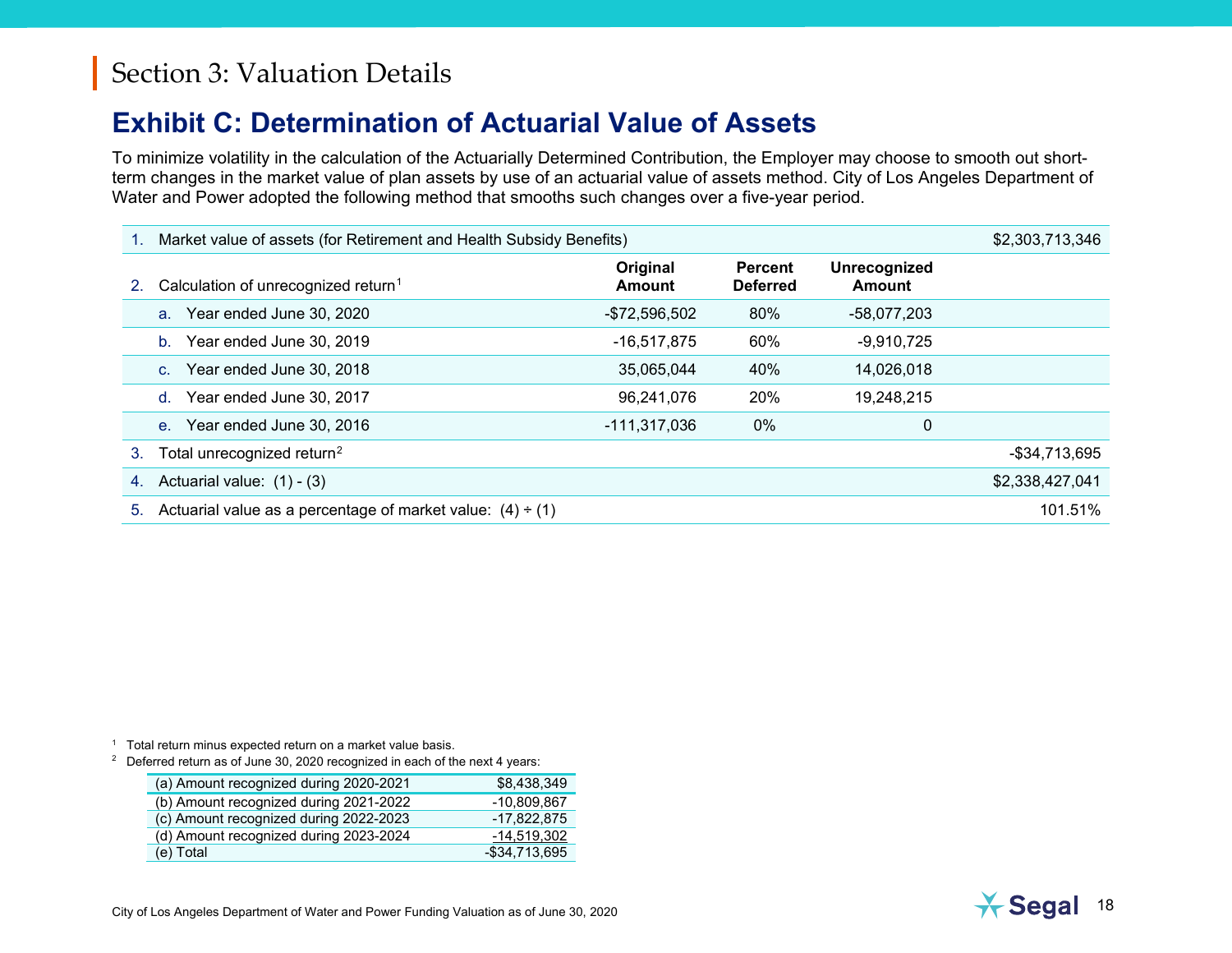#### <span id="page-20-2"></span><span id="page-20-1"></span><span id="page-20-0"></span>**Exhibit C: Determination of Actuarial Value of Assets**

To minimize volatility in the calculation of the Actuarially Determined Contribution, the Employer may choose to smooth out shortterm changes in the market value of plan assets by use of an actuarial value of assets method. City of Los Angeles Department of Water and Power adopted the following method that smooths such changes over a five-year period.

|    | Market value of assets (for Retirement and Health Subsidy Benefits) |                           |                                   |                        |                 |  |
|----|---------------------------------------------------------------------|---------------------------|-----------------------------------|------------------------|-----------------|--|
| 2. | Calculation of unrecognized return <sup>1</sup>                     | Original<br><b>Amount</b> | <b>Percent</b><br><b>Deferred</b> | Unrecognized<br>Amount |                 |  |
|    | Year ended June 30, 2020<br>$a_{-}$                                 | $-$72,596,502$            | 80%                               | $-58,077,203$          |                 |  |
|    | Year ended June 30, 2019<br>$b_{-}$                                 | $-16,517,875$             | 60%                               | $-9,910,725$           |                 |  |
|    | Year ended June 30, 2018<br>C <sub>1</sub>                          | 35,065,044                | 40%                               | 14,026,018             |                 |  |
|    | Year ended June 30, 2017<br>$d_{-}$                                 | 96,241,076                | 20%                               | 19,248,215             |                 |  |
|    | Year ended June 30, 2016<br>$e_{1}$                                 | $-111,317,036$            | $0\%$                             | 0                      |                 |  |
| 3. | Total unrecognized return <sup>2</sup>                              |                           |                                   |                        | -\$34,713,695   |  |
| 4. | Actuarial value: $(1) - (3)$                                        |                           |                                   |                        | \$2,338,427,041 |  |
| 5. | Actuarial value as a percentage of market value: $(4) \div (1)$     |                           |                                   |                        | 101.51%         |  |

<sup>1</sup> Total return minus expected return on a market value basis.

<sup>2</sup> Deferred return as of June 30, 2020 recognized in each of the next 4 years:

| (a) Amount recognized during 2020-2021 | \$8,438,349    |
|----------------------------------------|----------------|
| (b) Amount recognized during 2021-2022 | -10.809.867    |
| (c) Amount recognized during 2022-2023 | -17,822,875    |
| (d) Amount recognized during 2023-2024 | $-14,519,302$  |
| (e) Total                              | $-$34,713,695$ |

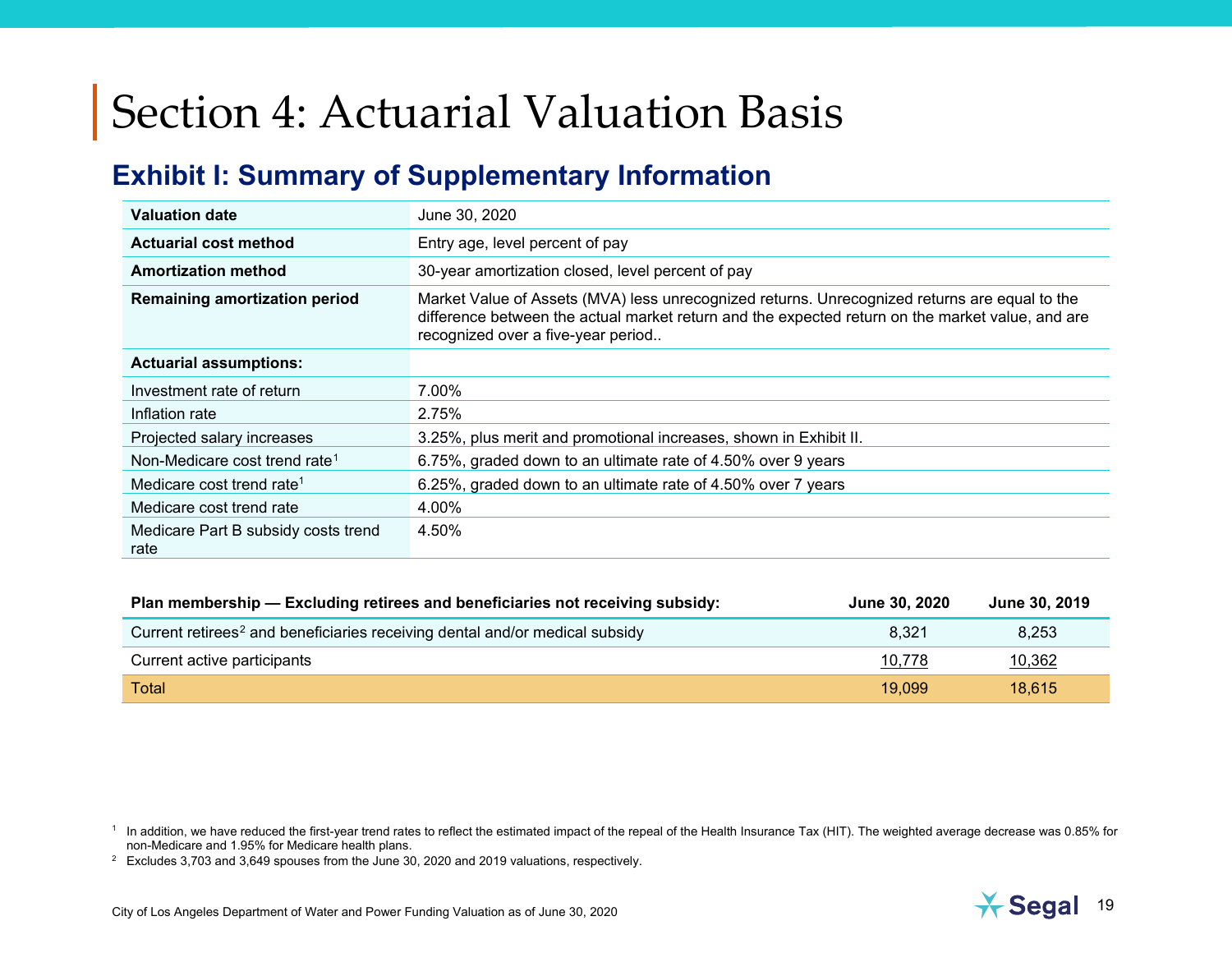#### <span id="page-21-3"></span><span id="page-21-2"></span><span id="page-21-1"></span><span id="page-21-0"></span>**Exhibit I: Summary of Supplementary Information**

| <b>Valuation date</b>                       | June 30, 2020                                                                                                                                                                                                                           |
|---------------------------------------------|-----------------------------------------------------------------------------------------------------------------------------------------------------------------------------------------------------------------------------------------|
| <b>Actuarial cost method</b>                | Entry age, level percent of pay                                                                                                                                                                                                         |
| <b>Amortization method</b>                  | 30-year amortization closed, level percent of pay                                                                                                                                                                                       |
| <b>Remaining amortization period</b>        | Market Value of Assets (MVA) less unrecognized returns. Unrecognized returns are equal to the<br>difference between the actual market return and the expected return on the market value, and are<br>recognized over a five-year period |
| <b>Actuarial assumptions:</b>               |                                                                                                                                                                                                                                         |
| Investment rate of return                   | 7.00%                                                                                                                                                                                                                                   |
| Inflation rate                              | 2.75%                                                                                                                                                                                                                                   |
| Projected salary increases                  | 3.25%, plus merit and promotional increases, shown in Exhibit II.                                                                                                                                                                       |
| Non-Medicare cost trend rate <sup>1</sup>   | 6.75%, graded down to an ultimate rate of 4.50% over 9 years                                                                                                                                                                            |
| Medicare cost trend rate <sup>1</sup>       | 6.25%, graded down to an ultimate rate of 4.50% over 7 years                                                                                                                                                                            |
| Medicare cost trend rate                    | 4.00%                                                                                                                                                                                                                                   |
| Medicare Part B subsidy costs trend<br>rate | 4.50%                                                                                                                                                                                                                                   |

| Plan membership - Excluding retirees and beneficiaries not receiving subsidy:           | June 30, 2020 | June 30, 2019 |
|-----------------------------------------------------------------------------------------|---------------|---------------|
| Current retirees <sup>2</sup> and beneficiaries receiving dental and/or medical subsidy | 8.321         | 8,253         |
| Current active participants                                                             | 10,778        | 10,362        |
| Total                                                                                   | 19.099        | 18.615        |

<sup>2</sup> Excludes 3,703 and 3,649 spouses from the June 30, 2020 and 2019 valuations, respectively.



<sup>&</sup>lt;sup>1</sup> In addition, we have reduced the first-year trend rates to reflect the estimated impact of the repeal of the Health Insurance Tax (HIT). The weighted average decrease was 0.85% for non-Medicare and 1.95% for Medicare health plans.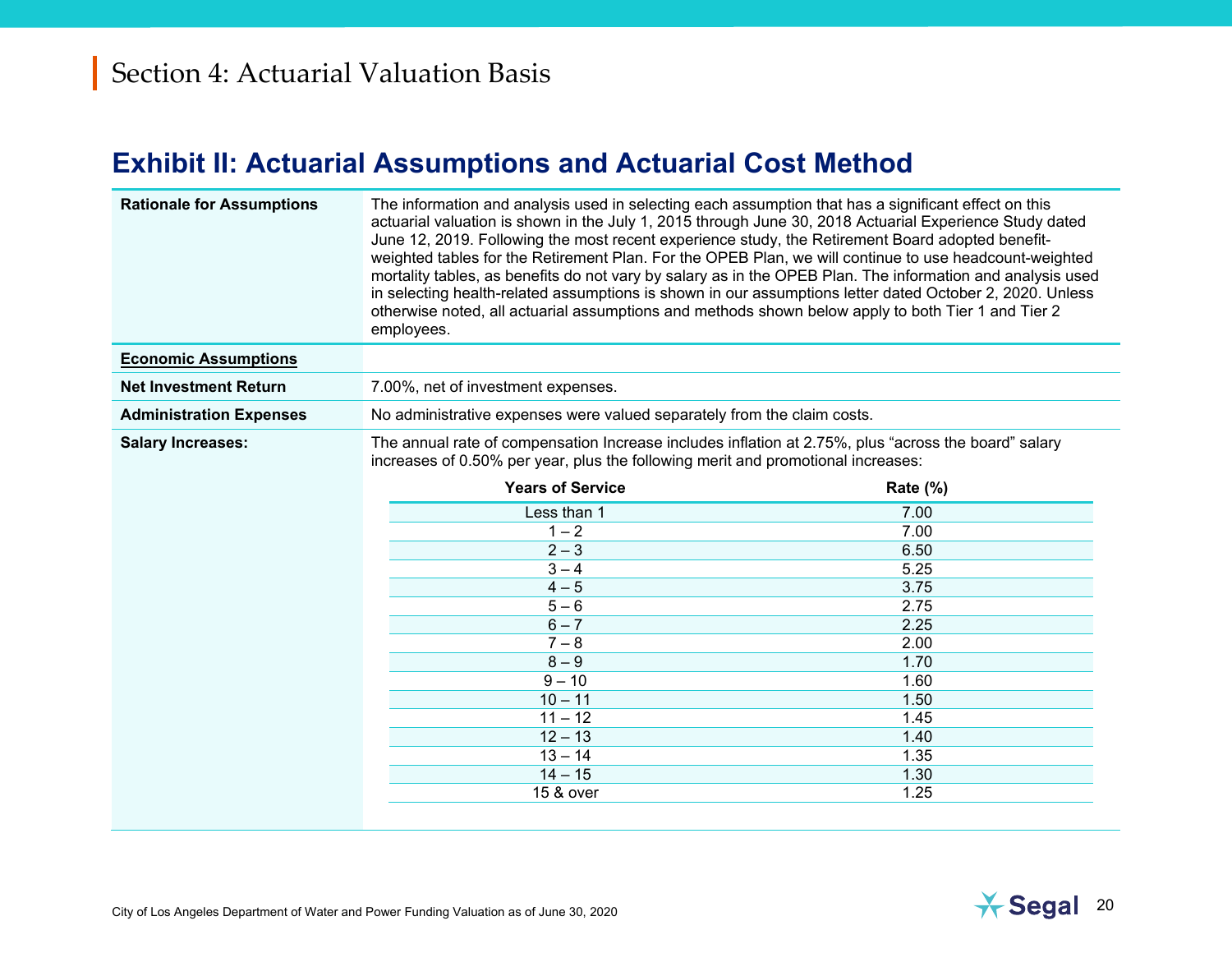#### <span id="page-22-0"></span>**Exhibit II: Actuarial Assumptions and Actuarial Cost Method**

| <b>Rationale for Assumptions</b> | The information and analysis used in selecting each assumption that has a significant effect on this<br>actuarial valuation is shown in the July 1, 2015 through June 30, 2018 Actuarial Experience Study dated<br>June 12, 2019. Following the most recent experience study, the Retirement Board adopted benefit-<br>weighted tables for the Retirement Plan. For the OPEB Plan, we will continue to use headcount-weighted<br>mortality tables, as benefits do not vary by salary as in the OPEB Plan. The information and analysis used<br>in selecting health-related assumptions is shown in our assumptions letter dated October 2, 2020. Unless<br>otherwise noted, all actuarial assumptions and methods shown below apply to both Tier 1 and Tier 2<br>employees. |             |  |  |  |
|----------------------------------|-----------------------------------------------------------------------------------------------------------------------------------------------------------------------------------------------------------------------------------------------------------------------------------------------------------------------------------------------------------------------------------------------------------------------------------------------------------------------------------------------------------------------------------------------------------------------------------------------------------------------------------------------------------------------------------------------------------------------------------------------------------------------------|-------------|--|--|--|
| <b>Economic Assumptions</b>      |                                                                                                                                                                                                                                                                                                                                                                                                                                                                                                                                                                                                                                                                                                                                                                             |             |  |  |  |
| <b>Net Investment Return</b>     | 7.00%, net of investment expenses.                                                                                                                                                                                                                                                                                                                                                                                                                                                                                                                                                                                                                                                                                                                                          |             |  |  |  |
| <b>Administration Expenses</b>   | No administrative expenses were valued separately from the claim costs.                                                                                                                                                                                                                                                                                                                                                                                                                                                                                                                                                                                                                                                                                                     |             |  |  |  |
| <b>Salary Increases:</b>         | The annual rate of compensation Increase includes inflation at 2.75%, plus "across the board" salary<br>increases of 0.50% per year, plus the following merit and promotional increases:                                                                                                                                                                                                                                                                                                                                                                                                                                                                                                                                                                                    |             |  |  |  |
|                                  | <b>Years of Service</b>                                                                                                                                                                                                                                                                                                                                                                                                                                                                                                                                                                                                                                                                                                                                                     | Rate $(\%)$ |  |  |  |
|                                  | Less than 1                                                                                                                                                                                                                                                                                                                                                                                                                                                                                                                                                                                                                                                                                                                                                                 | 7.00        |  |  |  |
|                                  | $1 - 2$                                                                                                                                                                                                                                                                                                                                                                                                                                                                                                                                                                                                                                                                                                                                                                     | 7.00        |  |  |  |
|                                  | $2 - 3$                                                                                                                                                                                                                                                                                                                                                                                                                                                                                                                                                                                                                                                                                                                                                                     | 6.50        |  |  |  |
|                                  | $3 - 4$                                                                                                                                                                                                                                                                                                                                                                                                                                                                                                                                                                                                                                                                                                                                                                     | 5.25        |  |  |  |
|                                  | $4 - 5$                                                                                                                                                                                                                                                                                                                                                                                                                                                                                                                                                                                                                                                                                                                                                                     | 3.75        |  |  |  |
|                                  | $5 - 6$                                                                                                                                                                                                                                                                                                                                                                                                                                                                                                                                                                                                                                                                                                                                                                     | 2.75        |  |  |  |
|                                  | $6 - 7$                                                                                                                                                                                                                                                                                                                                                                                                                                                                                                                                                                                                                                                                                                                                                                     | 2.25        |  |  |  |
|                                  | $7 - 8$                                                                                                                                                                                                                                                                                                                                                                                                                                                                                                                                                                                                                                                                                                                                                                     | 2.00        |  |  |  |
|                                  | $8 - 9$                                                                                                                                                                                                                                                                                                                                                                                                                                                                                                                                                                                                                                                                                                                                                                     | 1.70        |  |  |  |
|                                  | $9 - 10$                                                                                                                                                                                                                                                                                                                                                                                                                                                                                                                                                                                                                                                                                                                                                                    | 1.60        |  |  |  |
|                                  | $10 - 11$                                                                                                                                                                                                                                                                                                                                                                                                                                                                                                                                                                                                                                                                                                                                                                   | 1.50        |  |  |  |
|                                  | $11 - 12$                                                                                                                                                                                                                                                                                                                                                                                                                                                                                                                                                                                                                                                                                                                                                                   | 1.45        |  |  |  |
|                                  | $12 - 13$                                                                                                                                                                                                                                                                                                                                                                                                                                                                                                                                                                                                                                                                                                                                                                   | 1.40        |  |  |  |
|                                  | $13 - 14$                                                                                                                                                                                                                                                                                                                                                                                                                                                                                                                                                                                                                                                                                                                                                                   | 1.35        |  |  |  |
|                                  | $14 - 15$                                                                                                                                                                                                                                                                                                                                                                                                                                                                                                                                                                                                                                                                                                                                                                   | 1.30        |  |  |  |
|                                  | 15 & over                                                                                                                                                                                                                                                                                                                                                                                                                                                                                                                                                                                                                                                                                                                                                                   | 1.25        |  |  |  |
|                                  |                                                                                                                                                                                                                                                                                                                                                                                                                                                                                                                                                                                                                                                                                                                                                                             |             |  |  |  |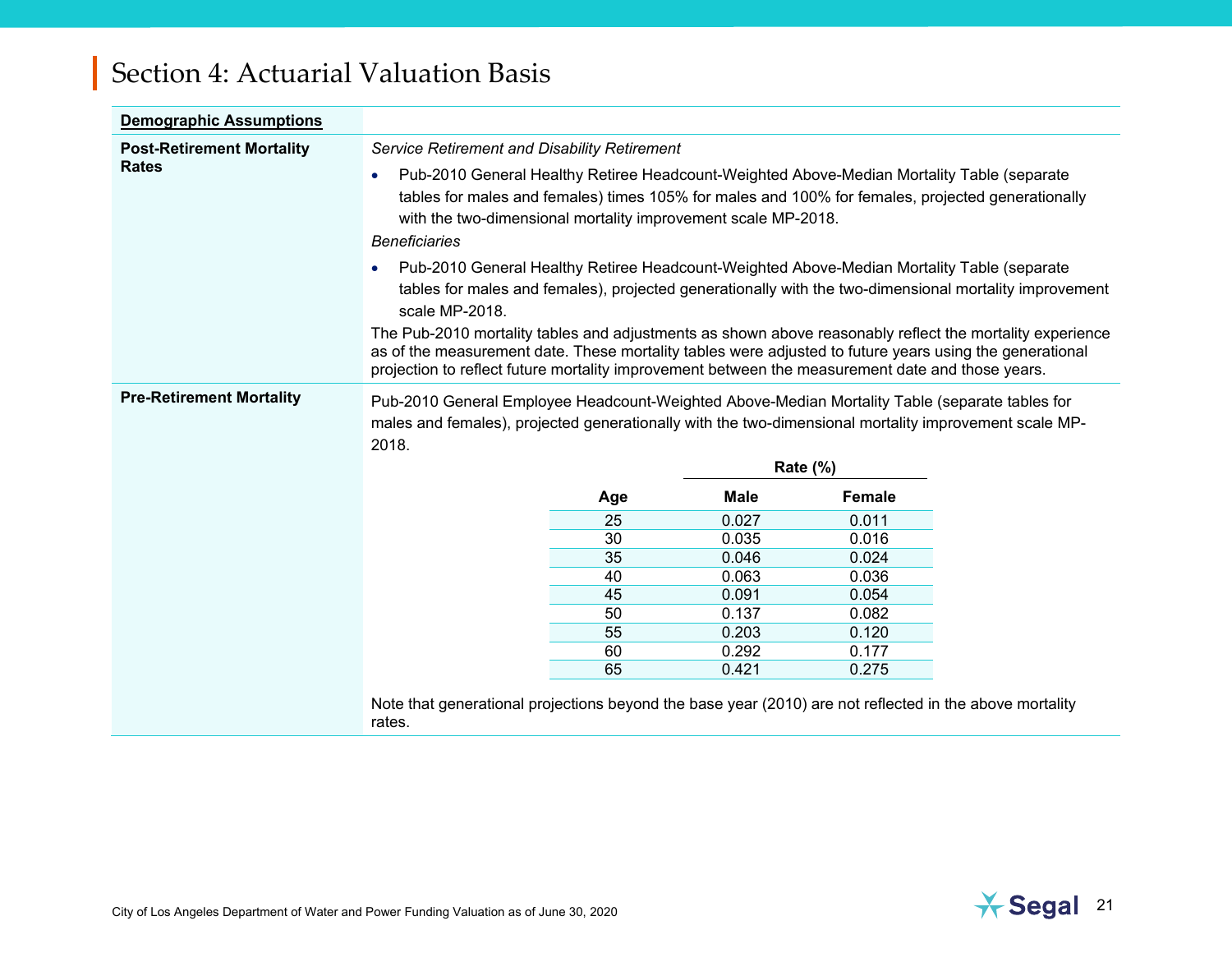| <b>Demographic Assumptions</b>                                                                                                                                                                                                                      |                                                                                                                                                                                                                                                                                                                                                                                                                                                                                                                                                                                                                                                                                                                                                                                                                                                                                                                         |     |             |                 |  |
|-----------------------------------------------------------------------------------------------------------------------------------------------------------------------------------------------------------------------------------------------------|-------------------------------------------------------------------------------------------------------------------------------------------------------------------------------------------------------------------------------------------------------------------------------------------------------------------------------------------------------------------------------------------------------------------------------------------------------------------------------------------------------------------------------------------------------------------------------------------------------------------------------------------------------------------------------------------------------------------------------------------------------------------------------------------------------------------------------------------------------------------------------------------------------------------------|-----|-------------|-----------------|--|
| <b>Post-Retirement Mortality</b><br><b>Rates</b>                                                                                                                                                                                                    | Service Retirement and Disability Retirement<br>Pub-2010 General Healthy Retiree Headcount-Weighted Above-Median Mortality Table (separate<br>$\bullet$<br>tables for males and females) times 105% for males and 100% for females, projected generationally<br>with the two-dimensional mortality improvement scale MP-2018.<br><b>Beneficiaries</b><br>Pub-2010 General Healthy Retiree Headcount-Weighted Above-Median Mortality Table (separate<br>$\bullet$<br>tables for males and females), projected generationally with the two-dimensional mortality improvement<br>scale MP-2018.<br>The Pub-2010 mortality tables and adjustments as shown above reasonably reflect the mortality experience<br>as of the measurement date. These mortality tables were adjusted to future years using the generational<br>projection to reflect future mortality improvement between the measurement date and those years. |     |             |                 |  |
| <b>Pre-Retirement Mortality</b><br>Pub-2010 General Employee Headcount-Weighted Above-Median Mortality Table (separate tables for<br>males and females), projected generationally with the two-dimensional mortality improvement scale MP-<br>2018. |                                                                                                                                                                                                                                                                                                                                                                                                                                                                                                                                                                                                                                                                                                                                                                                                                                                                                                                         |     |             |                 |  |
|                                                                                                                                                                                                                                                     |                                                                                                                                                                                                                                                                                                                                                                                                                                                                                                                                                                                                                                                                                                                                                                                                                                                                                                                         |     |             | <b>Rate (%)</b> |  |
|                                                                                                                                                                                                                                                     |                                                                                                                                                                                                                                                                                                                                                                                                                                                                                                                                                                                                                                                                                                                                                                                                                                                                                                                         | Age | <b>Male</b> | <b>Female</b>   |  |
|                                                                                                                                                                                                                                                     |                                                                                                                                                                                                                                                                                                                                                                                                                                                                                                                                                                                                                                                                                                                                                                                                                                                                                                                         | 25  | 0.027       | 0.011           |  |
|                                                                                                                                                                                                                                                     |                                                                                                                                                                                                                                                                                                                                                                                                                                                                                                                                                                                                                                                                                                                                                                                                                                                                                                                         | 30  | 0.035       | 0.016           |  |
|                                                                                                                                                                                                                                                     |                                                                                                                                                                                                                                                                                                                                                                                                                                                                                                                                                                                                                                                                                                                                                                                                                                                                                                                         | 35  | 0.046       | 0.024           |  |
|                                                                                                                                                                                                                                                     |                                                                                                                                                                                                                                                                                                                                                                                                                                                                                                                                                                                                                                                                                                                                                                                                                                                                                                                         | 40  | 0.063       | 0.036           |  |
|                                                                                                                                                                                                                                                     |                                                                                                                                                                                                                                                                                                                                                                                                                                                                                                                                                                                                                                                                                                                                                                                                                                                                                                                         | 45  | 0.091       | 0.054           |  |
|                                                                                                                                                                                                                                                     |                                                                                                                                                                                                                                                                                                                                                                                                                                                                                                                                                                                                                                                                                                                                                                                                                                                                                                                         | 50  | 0.137       | 0.082           |  |
|                                                                                                                                                                                                                                                     |                                                                                                                                                                                                                                                                                                                                                                                                                                                                                                                                                                                                                                                                                                                                                                                                                                                                                                                         | 55  | 0.203       | 0.120           |  |
|                                                                                                                                                                                                                                                     |                                                                                                                                                                                                                                                                                                                                                                                                                                                                                                                                                                                                                                                                                                                                                                                                                                                                                                                         | 60  | 0.292       | 0.177           |  |
|                                                                                                                                                                                                                                                     |                                                                                                                                                                                                                                                                                                                                                                                                                                                                                                                                                                                                                                                                                                                                                                                                                                                                                                                         | 65  | 0.421       | 0.275           |  |
|                                                                                                                                                                                                                                                     | Note that generational projections beyond the base year (2010) are not reflected in the above mortality<br>rates.                                                                                                                                                                                                                                                                                                                                                                                                                                                                                                                                                                                                                                                                                                                                                                                                       |     |             |                 |  |

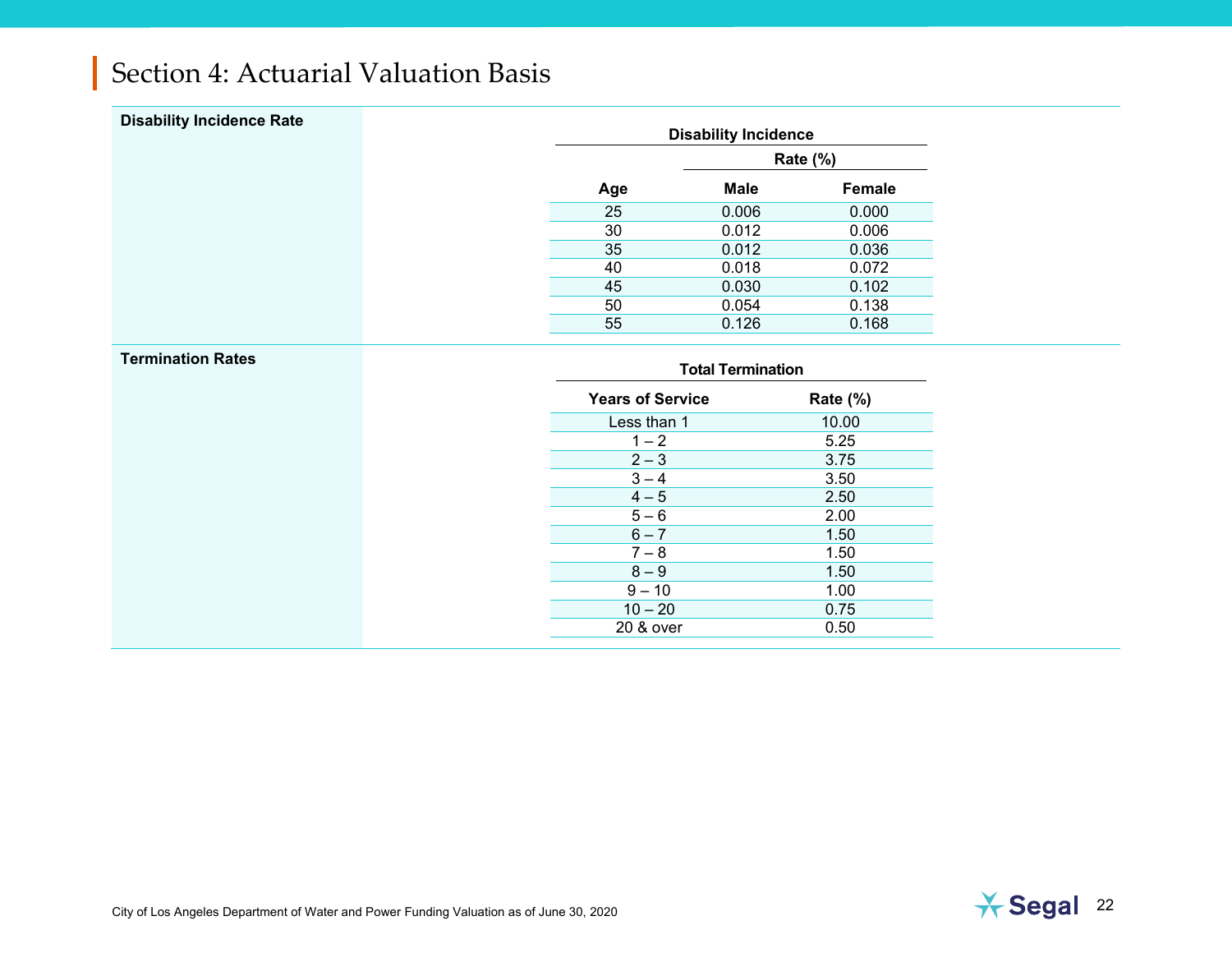| <b>Disability Incidence Rate</b> |     | <b>Disability Incidence</b> |        |  |  |
|----------------------------------|-----|-----------------------------|--------|--|--|
|                                  |     | <b>Rate (%)</b>             |        |  |  |
|                                  | Age | <b>Male</b>                 | Female |  |  |
|                                  | 25  | 0.006                       | 0.000  |  |  |
|                                  | 30  | 0.012                       | 0.006  |  |  |
|                                  | 35  | 0.012                       | 0.036  |  |  |
|                                  | 40  | 0.018                       | 0.072  |  |  |
|                                  | 45  | 0.030                       | 0.102  |  |  |
|                                  | 50  | 0.054                       | 0.138  |  |  |
|                                  | 55  | 0.126                       | 0.168  |  |  |
| <b>Termination Rates</b>         |     | <b>Total Termination</b>    |        |  |  |

| Total Termination       |          |
|-------------------------|----------|
| <b>Years of Service</b> | Rate (%) |
| Less than 1             | 10.00    |
| $1 - 2$                 | 5.25     |
| $2 - 3$                 | 3.75     |
| $3 - 4$                 | 3.50     |
| $4 - 5$                 | 2.50     |
| $5 - 6$                 | 2.00     |
| $6 - 7$                 | 1.50     |
| $7 - 8$                 | 1.50     |
| $8 - 9$                 | 1.50     |
| $9 - 10$                | 1.00     |
| $10 - 20$               | 0.75     |
| 20 & over               | 0.50     |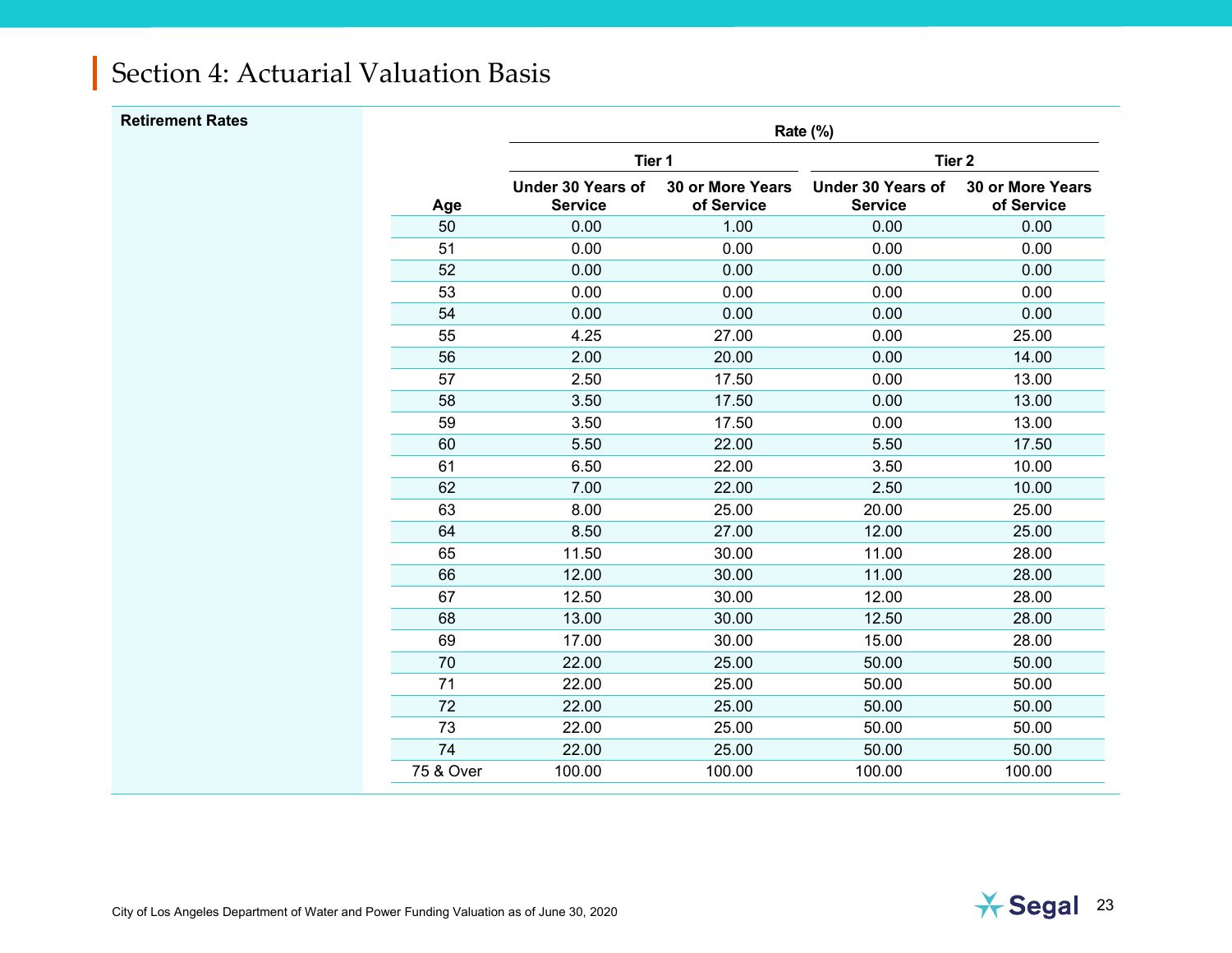| <b>Retirement Rates</b> |           |                                            |                                | Rate (%)                                   |                                       |
|-------------------------|-----------|--------------------------------------------|--------------------------------|--------------------------------------------|---------------------------------------|
|                         |           | Tier 1                                     |                                | Tier <sub>2</sub>                          |                                       |
|                         | Age       | <b>Under 30 Years of</b><br><b>Service</b> | 30 or More Years<br>of Service | <b>Under 30 Years of</b><br><b>Service</b> | <b>30 or More Years</b><br>of Service |
|                         | 50        | 0.00                                       | 1.00                           | 0.00                                       | 0.00                                  |
|                         | 51        | 0.00                                       | 0.00                           | 0.00                                       | 0.00                                  |
|                         | 52        | 0.00                                       | 0.00                           | 0.00                                       | 0.00                                  |
|                         | 53        | 0.00                                       | 0.00                           | 0.00                                       | 0.00                                  |
|                         | 54        | 0.00                                       | 0.00                           | 0.00                                       | 0.00                                  |
|                         | 55        | 4.25                                       | 27.00                          | 0.00                                       | 25.00                                 |
|                         | 56        | 2.00                                       | 20.00                          | 0.00                                       | 14.00                                 |
|                         | 57        | 2.50                                       | 17.50                          | 0.00                                       | 13.00                                 |
|                         | 58        | 3.50                                       | 17.50                          | 0.00                                       | 13.00                                 |
|                         | 59        | 3.50                                       | 17.50                          | 0.00                                       | 13.00                                 |
|                         | 60        | 5.50                                       | 22.00                          | 5.50                                       | 17.50                                 |
|                         | 61        | 6.50                                       | 22.00                          | 3.50                                       | 10.00                                 |
|                         | 62        | 7.00                                       | 22.00                          | 2.50                                       | 10.00                                 |
|                         | 63        | 8.00                                       | 25.00                          | 20.00                                      | 25.00                                 |
|                         | 64        | 8.50                                       | 27.00                          | 12.00                                      | 25.00                                 |
|                         | 65        | 11.50                                      | 30.00                          | 11.00                                      | 28.00                                 |
|                         | 66        | 12.00                                      | 30.00                          | 11.00                                      | 28.00                                 |
|                         | 67        | 12.50                                      | 30.00                          | 12.00                                      | 28.00                                 |
|                         | 68        | 13.00                                      | 30.00                          | 12.50                                      | 28.00                                 |
|                         | 69        | 17.00                                      | 30.00                          | 15.00                                      | 28.00                                 |
|                         | 70        | 22.00                                      | 25.00                          | 50.00                                      | 50.00                                 |
|                         | 71        | 22.00                                      | 25.00                          | 50.00                                      | 50.00                                 |
|                         | 72        | 22.00                                      | 25.00                          | 50.00                                      | 50.00                                 |
|                         | 73        | 22.00                                      | 25.00                          | 50.00                                      | 50.00                                 |
|                         | 74        | 22.00                                      | 25.00                          | 50.00                                      | 50.00                                 |
|                         | 75 & Over | 100.00                                     | 100.00                         | 100.00                                     | 100.00                                |
|                         |           |                                            |                                |                                            |                                       |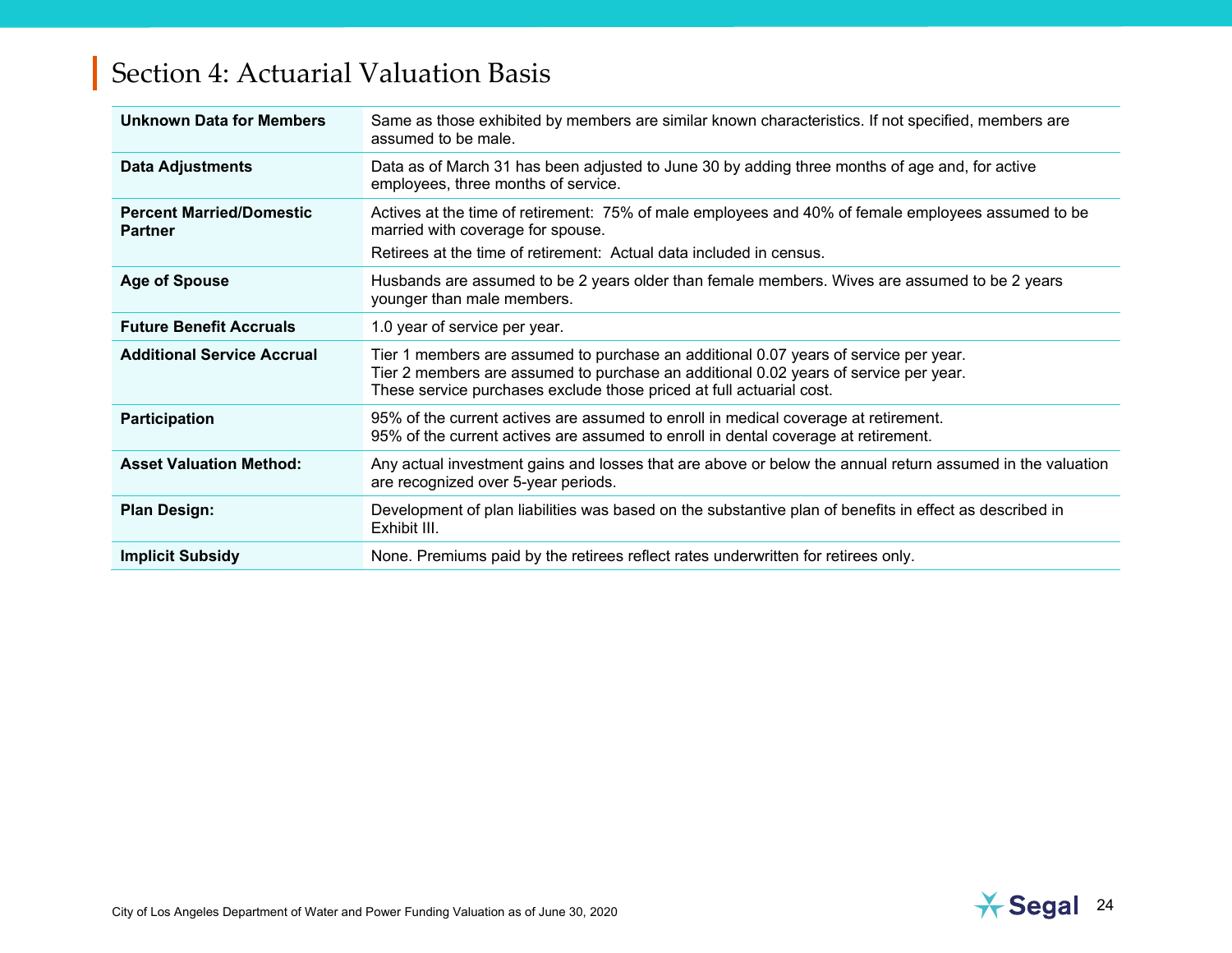| <b>Unknown Data for Members</b>                   | Same as those exhibited by members are similar known characteristics. If not specified, members are<br>assumed to be male.                                                                                                                           |
|---------------------------------------------------|------------------------------------------------------------------------------------------------------------------------------------------------------------------------------------------------------------------------------------------------------|
| <b>Data Adjustments</b>                           | Data as of March 31 has been adjusted to June 30 by adding three months of age and, for active<br>employees, three months of service.                                                                                                                |
| <b>Percent Married/Domestic</b><br><b>Partner</b> | Actives at the time of retirement: 75% of male employees and 40% of female employees assumed to be<br>married with coverage for spouse.<br>Retirees at the time of retirement: Actual data included in census.                                       |
| <b>Age of Spouse</b>                              | Husbands are assumed to be 2 years older than female members. Wives are assumed to be 2 years<br>younger than male members.                                                                                                                          |
| <b>Future Benefit Accruals</b>                    | 1.0 year of service per year.                                                                                                                                                                                                                        |
| <b>Additional Service Accrual</b>                 | Tier 1 members are assumed to purchase an additional 0.07 years of service per year.<br>Tier 2 members are assumed to purchase an additional 0.02 years of service per year.<br>These service purchases exclude those priced at full actuarial cost. |
| <b>Participation</b>                              | 95% of the current actives are assumed to enroll in medical coverage at retirement.<br>95% of the current actives are assumed to enroll in dental coverage at retirement.                                                                            |
| <b>Asset Valuation Method:</b>                    | Any actual investment gains and losses that are above or below the annual return assumed in the valuation<br>are recognized over 5-year periods.                                                                                                     |
| <b>Plan Design:</b>                               | Development of plan liabilities was based on the substantive plan of benefits in effect as described in<br>Exhibit III.                                                                                                                              |
| <b>Implicit Subsidy</b>                           | None. Premiums paid by the retirees reflect rates underwritten for retirees only.                                                                                                                                                                    |

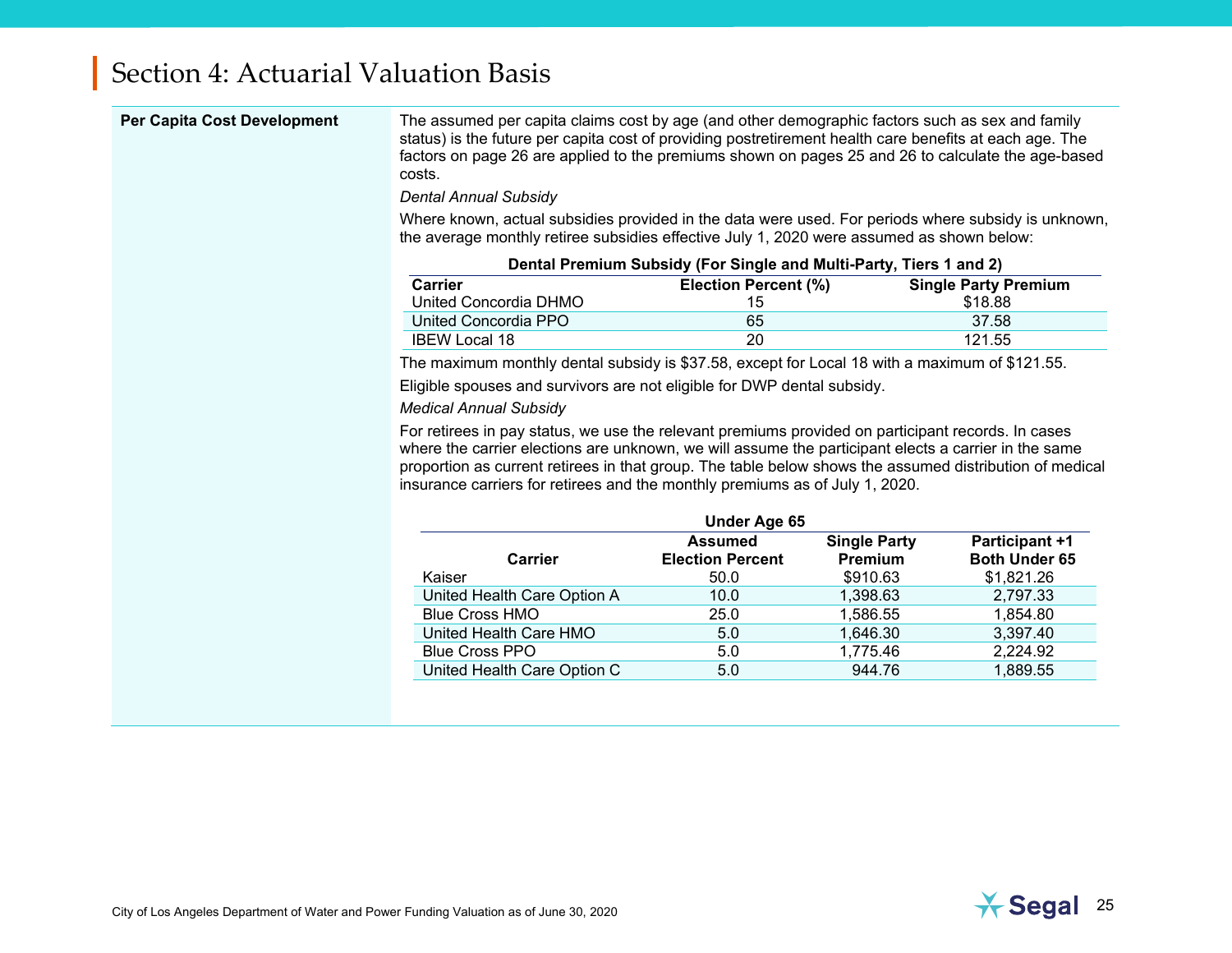<span id="page-27-0"></span>

| <b>Per Capita Cost Development</b> | The assumed per capita claims cost by age (and other demographic factors such as sex and family<br>status) is the future per capita cost of providing postretirement health care benefits at each age. The<br>factors on page 26 are applied to the premiums shown on pages 25 and 26 to calculate the age-based<br>costs.                                                                            |                                                                    |                                |                                               |  |
|------------------------------------|-------------------------------------------------------------------------------------------------------------------------------------------------------------------------------------------------------------------------------------------------------------------------------------------------------------------------------------------------------------------------------------------------------|--------------------------------------------------------------------|--------------------------------|-----------------------------------------------|--|
|                                    | <b>Dental Annual Subsidy</b>                                                                                                                                                                                                                                                                                                                                                                          |                                                                    |                                |                                               |  |
|                                    | Where known, actual subsidies provided in the data were used. For periods where subsidy is unknown,<br>the average monthly retiree subsidies effective July 1, 2020 were assumed as shown below:                                                                                                                                                                                                      |                                                                    |                                |                                               |  |
|                                    |                                                                                                                                                                                                                                                                                                                                                                                                       | Dental Premium Subsidy (For Single and Multi-Party, Tiers 1 and 2) |                                |                                               |  |
|                                    | <b>Carrier</b><br>United Concordia DHMO                                                                                                                                                                                                                                                                                                                                                               | Election Percent (%)<br>15                                         |                                | <b>Single Party Premium</b><br>\$18.88        |  |
|                                    | United Concordia PPO                                                                                                                                                                                                                                                                                                                                                                                  | 65                                                                 |                                | 37.58                                         |  |
|                                    | <b>IBEW Local 18</b>                                                                                                                                                                                                                                                                                                                                                                                  | 20                                                                 |                                | 121.55                                        |  |
|                                    | The maximum monthly dental subsidy is \$37.58, except for Local 18 with a maximum of \$121.55.                                                                                                                                                                                                                                                                                                        |                                                                    |                                |                                               |  |
|                                    | Eligible spouses and survivors are not eligible for DWP dental subsidy.                                                                                                                                                                                                                                                                                                                               |                                                                    |                                |                                               |  |
|                                    | <b>Medical Annual Subsidy</b>                                                                                                                                                                                                                                                                                                                                                                         |                                                                    |                                |                                               |  |
|                                    | For retirees in pay status, we use the relevant premiums provided on participant records. In cases<br>where the carrier elections are unknown, we will assume the participant elects a carrier in the same<br>proportion as current retirees in that group. The table below shows the assumed distribution of medical<br>insurance carriers for retirees and the monthly premiums as of July 1, 2020. |                                                                    |                                |                                               |  |
|                                    |                                                                                                                                                                                                                                                                                                                                                                                                       | Under Age 65                                                       |                                |                                               |  |
|                                    | <b>Carrier</b>                                                                                                                                                                                                                                                                                                                                                                                        | <b>Assumed</b><br><b>Election Percent</b>                          | <b>Single Party</b><br>Premium | <b>Participant +1</b><br><b>Both Under 65</b> |  |
|                                    | Kaiser                                                                                                                                                                                                                                                                                                                                                                                                | 50.0                                                               | \$910.63                       | \$1,821.26                                    |  |
|                                    | United Health Care Option A                                                                                                                                                                                                                                                                                                                                                                           | 10.0                                                               | 1,398.63                       | 2,797.33                                      |  |
|                                    | <b>Blue Cross HMO</b>                                                                                                                                                                                                                                                                                                                                                                                 | 25.0                                                               | 1,586.55                       | 1,854.80                                      |  |
|                                    | United Health Care HMO                                                                                                                                                                                                                                                                                                                                                                                | 5.0                                                                | 1,646.30                       | 3,397.40                                      |  |
|                                    | <b>Blue Cross PPO</b>                                                                                                                                                                                                                                                                                                                                                                                 | 5.0                                                                | 1,775.46                       | 2,224.92                                      |  |
|                                    | United Health Care Option C                                                                                                                                                                                                                                                                                                                                                                           | 5.0                                                                | 944.76                         | 1,889.55                                      |  |
|                                    |                                                                                                                                                                                                                                                                                                                                                                                                       |                                                                    |                                |                                               |  |

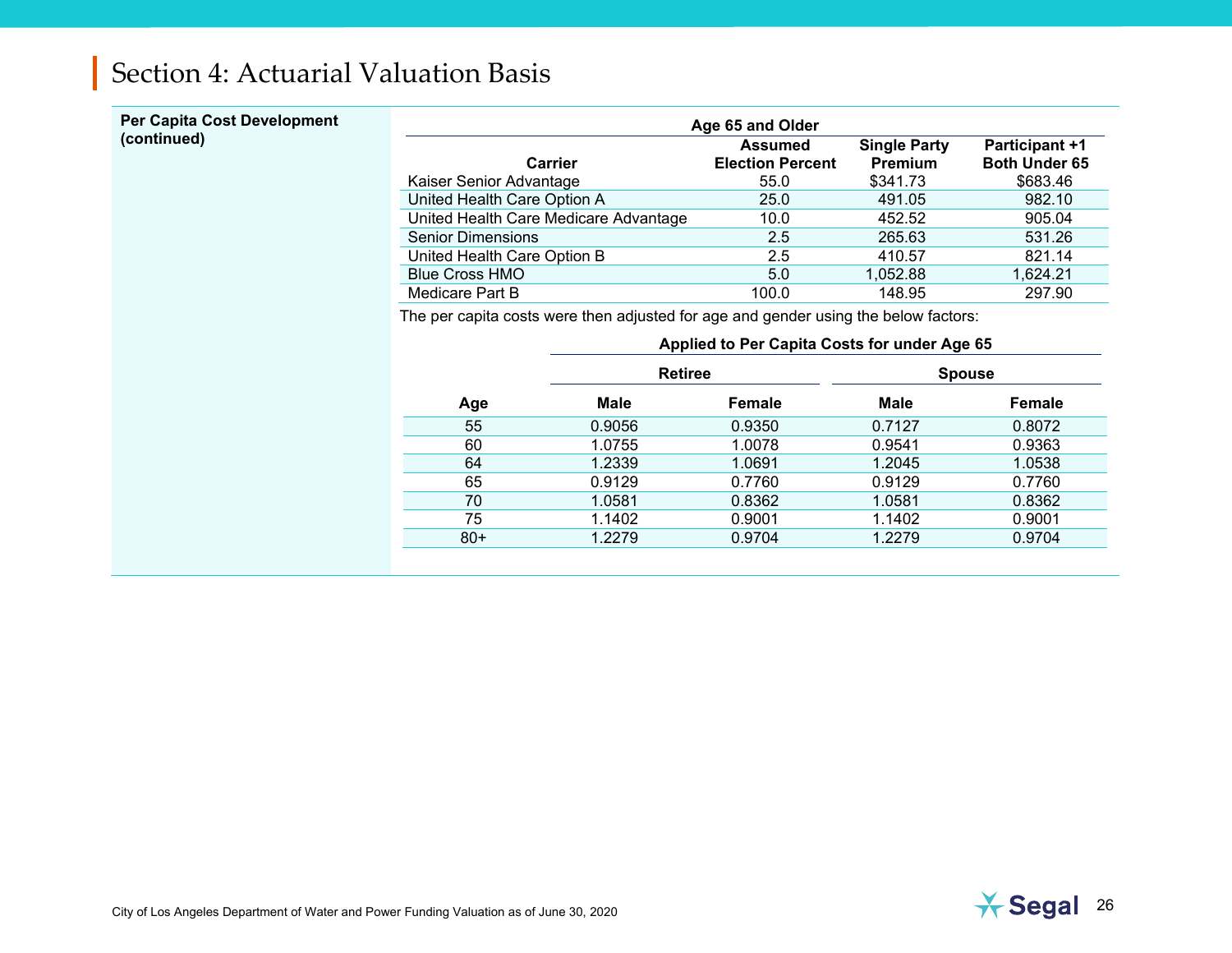## **Per Capita Cost Development**

| Per Capita Cost Development | Age 65 and Older                      |                                                   |                                            |                                                           |  |
|-----------------------------|---------------------------------------|---------------------------------------------------|--------------------------------------------|-----------------------------------------------------------|--|
| (continued)                 | Carrier<br>Kaiser Senior Advantage    | <b>Assumed</b><br><b>Election Percent</b><br>55.0 | <b>Single Party</b><br>Premium<br>\$341.73 | <b>Participant +1</b><br><b>Both Under 65</b><br>\$683.46 |  |
|                             | United Health Care Option A           | 25.0                                              | 491.05                                     | 982.10                                                    |  |
|                             | United Health Care Medicare Advantage | 10.0                                              | 452.52                                     | 905.04                                                    |  |
|                             | <b>Senior Dimensions</b>              | 2.5                                               | 265.63                                     | 531.26                                                    |  |
|                             | United Health Care Option B           | 2.5                                               | 410.57                                     | 821.14                                                    |  |
|                             | <b>Blue Cross HMO</b>                 | 5.0                                               | 1,052.88                                   | 1,624.21                                                  |  |
|                             | Medicare Part B                       | 100.0                                             | 148.95                                     | 297.90                                                    |  |

<span id="page-28-1"></span><span id="page-28-0"></span>The per capita costs were then adjusted for age and gender using the below factors:

|       |        | Applied to Per Capita Costs for under Age 65 |             |               |
|-------|--------|----------------------------------------------|-------------|---------------|
|       |        | <b>Retiree</b>                               |             | <b>Spouse</b> |
| Age   | Male   | Female                                       | <b>Male</b> | Female        |
| 55    | 0.9056 | 0.9350                                       | 0.7127      | 0.8072        |
| 60    | 1.0755 | 1.0078                                       | 0.9541      | 0.9363        |
| 64    | 1.2339 | 1.0691                                       | 1.2045      | 1.0538        |
| 65    | 0.9129 | 0.7760                                       | 0.9129      | 0.7760        |
| 70    | 1.0581 | 0.8362                                       | 1.0581      | 0.8362        |
| 75    | 1.1402 | 0.9001                                       | 1.1402      | 0.9001        |
| $80+$ | 1.2279 | 0.9704                                       | 1.2279      | 0.9704        |

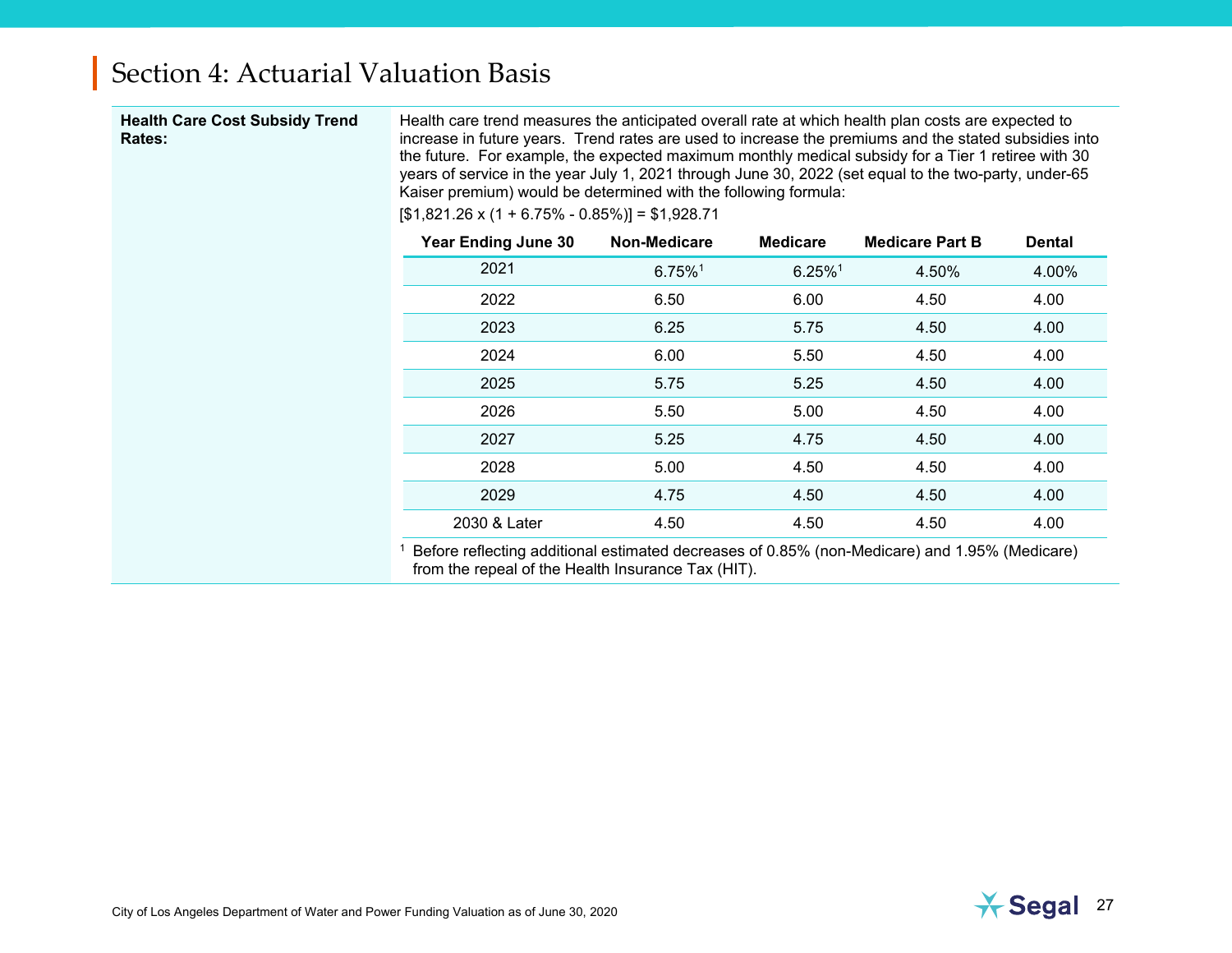#### **Health Care Cost Subsidy Trend Rates:**

Health care trend measures the anticipated overall rate at which health plan costs are expected to increase in future years. Trend rates are used to increase the premiums and the stated subsidies into the future. For example, the expected maximum monthly medical subsidy for a Tier 1 retiree with 30 years of service in the year July 1, 2021 through June 30, 2022 (set equal to the two-party, under-65 Kaiser premium) would be determined with the following formula:

 $[$1,821.26 \times (1 + 6.75\% - 0.85\%)] = $1,928.71$ 

| <b>Year Ending June 30</b> | Non-Medicare          | <b>Medicare</b>       | <b>Medicare Part B</b> | <b>Dental</b> |
|----------------------------|-----------------------|-----------------------|------------------------|---------------|
| 2021                       | $6.75\%$ <sup>1</sup> | $6.25\%$ <sup>1</sup> | 4.50%                  | 4.00%         |
| 2022                       | 6.50                  | 6.00                  | 4.50                   | 4.00          |
| 2023                       | 6.25                  | 5.75                  | 4.50                   | 4.00          |
| 2024                       | 6.00                  | 5.50                  | 4.50                   | 4.00          |
| 2025                       | 5.75                  | 5.25                  | 4.50                   | 4.00          |
| 2026                       | 5.50                  | 5.00                  | 4.50                   | 4.00          |
| 2027                       | 5.25                  | 4.75                  | 4.50                   | 4.00          |
| 2028                       | 5.00                  | 4.50                  | 4.50                   | 4.00          |
| 2029                       | 4.75                  | 4.50                  | 4.50                   | 4.00          |
| 2030 & Later               | 4.50                  | 4.50                  | 4.50                   | 4.00          |

<sup>1</sup> Before reflecting additional estimated decreases of 0.85% (non-Medicare) and 1.95% (Medicare) from the repeal of the Health Insurance Tax (HIT).

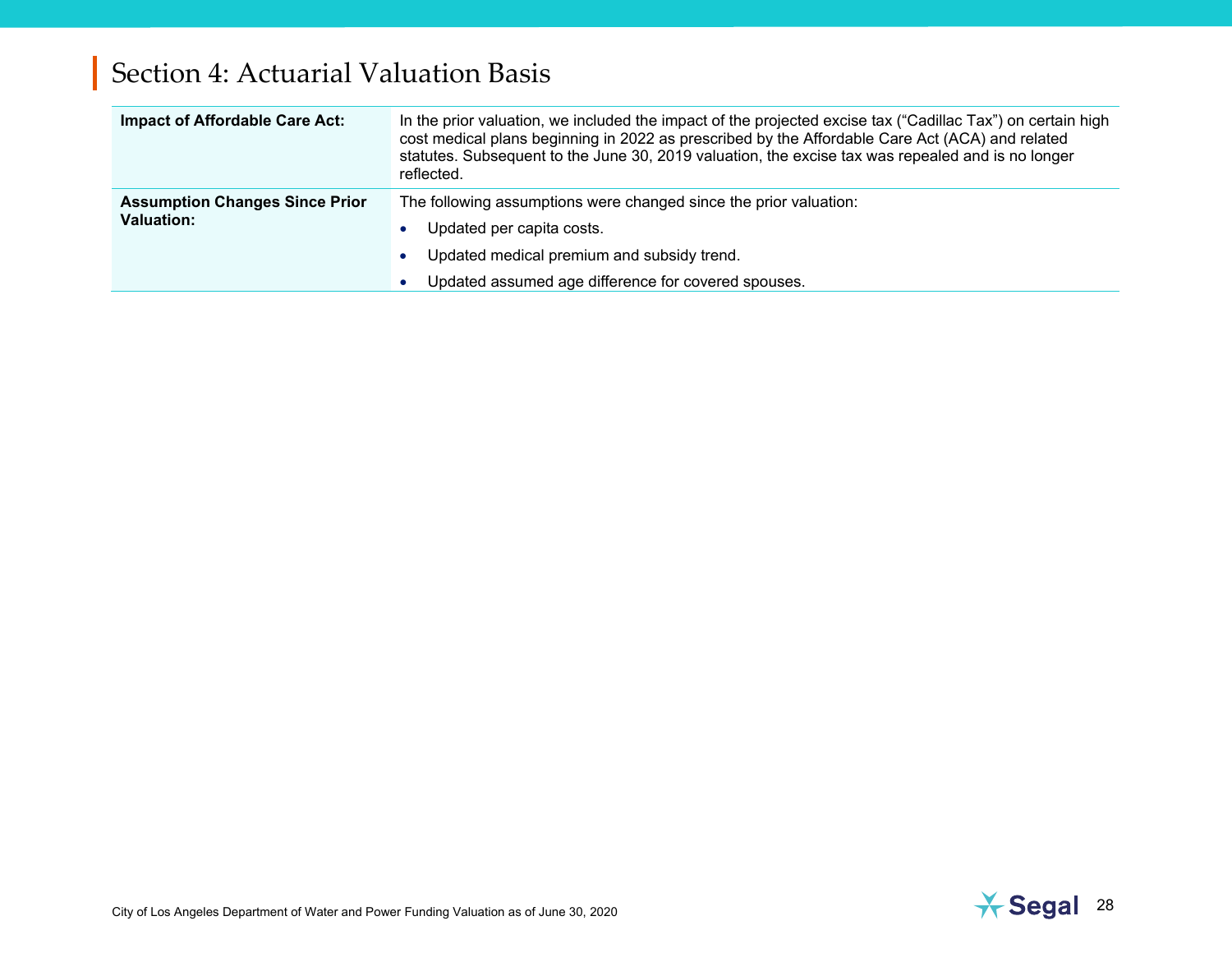| <b>Impact of Affordable Care Act:</b>                      | In the prior valuation, we included the impact of the projected excise tax ("Cadillac Tax") on certain high<br>cost medical plans beginning in 2022 as prescribed by the Affordable Care Act (ACA) and related<br>statutes. Subsequent to the June 30, 2019 valuation, the excise tax was repealed and is no longer<br>reflected. |
|------------------------------------------------------------|-----------------------------------------------------------------------------------------------------------------------------------------------------------------------------------------------------------------------------------------------------------------------------------------------------------------------------------|
| <b>Assumption Changes Since Prior</b><br><b>Valuation:</b> | The following assumptions were changed since the prior valuation:<br>Updated per capita costs.                                                                                                                                                                                                                                    |
|                                                            | Updated medical premium and subsidy trend.<br>$\bullet$<br>Updated assumed age difference for covered spouses.                                                                                                                                                                                                                    |

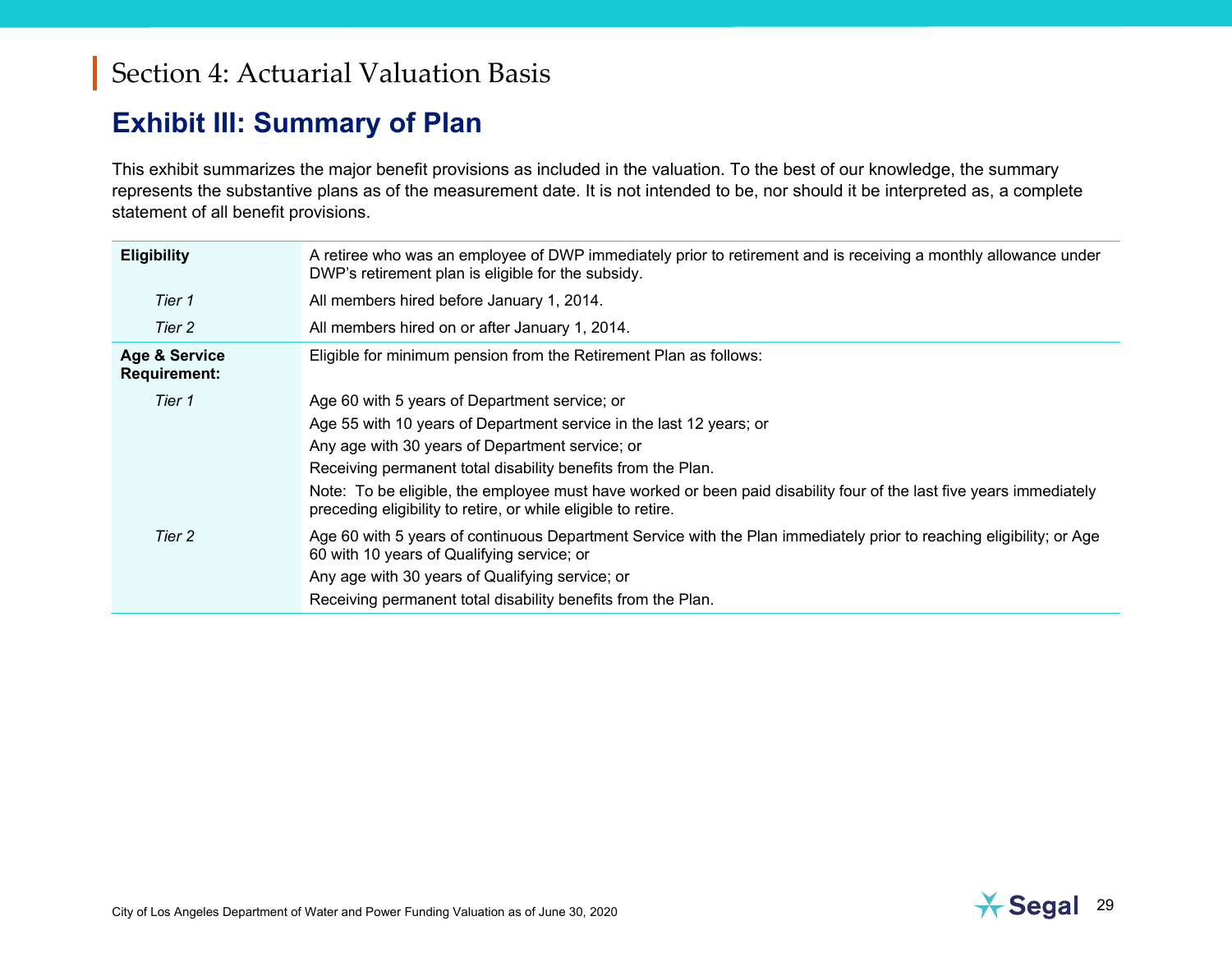#### <span id="page-31-0"></span>**Exhibit III: Summary of Plan**

This exhibit summarizes the major benefit provisions as included in the valuation. To the best of our knowledge, the summary represents the substantive plans as of the measurement date. It is not intended to be, nor should it be interpreted as, a complete statement of all benefit provisions.

| <b>Eligibility</b>            | A retiree who was an employee of DWP immediately prior to retirement and is receiving a monthly allowance under<br>DWP's retirement plan is eligible for the subsidy.                |
|-------------------------------|--------------------------------------------------------------------------------------------------------------------------------------------------------------------------------------|
| Tier 1                        | All members hired before January 1, 2014.                                                                                                                                            |
| Tier 2                        | All members hired on or after January 1, 2014.                                                                                                                                       |
| Age & Service<br>Requirement: | Eligible for minimum pension from the Retirement Plan as follows:                                                                                                                    |
| Tier 1                        | Age 60 with 5 years of Department service; or                                                                                                                                        |
|                               | Age 55 with 10 years of Department service in the last 12 years; or                                                                                                                  |
|                               | Any age with 30 years of Department service; or                                                                                                                                      |
|                               | Receiving permanent total disability benefits from the Plan.                                                                                                                         |
|                               | Note: To be eligible, the employee must have worked or been paid disability four of the last five years immediately<br>preceding eligibility to retire, or while eligible to retire. |
| Tier 2                        | Age 60 with 5 years of continuous Department Service with the Plan immediately prior to reaching eligibility; or Age<br>60 with 10 years of Qualifying service; or                   |
|                               | Any age with 30 years of Qualifying service; or                                                                                                                                      |
|                               | Receiving permanent total disability benefits from the Plan.                                                                                                                         |

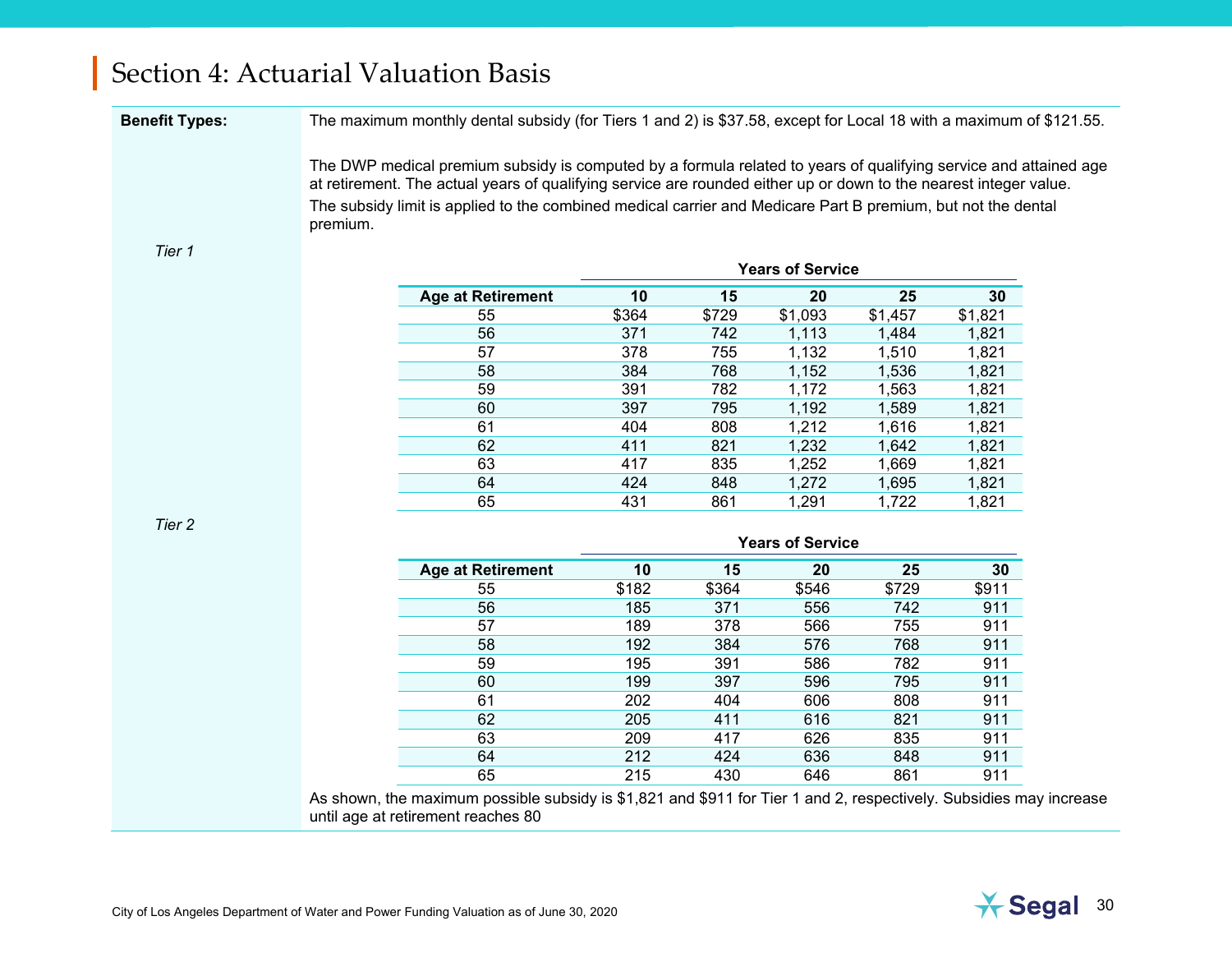**Benefit Types:** The maximum monthly dental subsidy (for Tiers 1 and 2) is \$37.58, except for Local 18 with a maximum of \$121.55.

The DWP medical premium subsidy is computed by a formula related to years of qualifying service and attained age at retirement. The actual years of qualifying service are rounded either up or down to the nearest integer value. The subsidy limit is applied to the combined medical carrier and Medicare Part B premium, but not the dental premium.

#### *Tier 1*

|                          |       |       | <b>Years of Service</b> |         |         |
|--------------------------|-------|-------|-------------------------|---------|---------|
| <b>Age at Retirement</b> | 10    | 15    | 20                      | 25      | 30      |
| 55                       | \$364 | \$729 | \$1,093                 | \$1,457 | \$1,821 |
| 56                       | 371   | 742   | 1,113                   | 1,484   | 1,821   |
| 57                       | 378   | 755   | 1,132                   | 1,510   | 1,821   |
| 58                       | 384   | 768   | 1,152                   | 1,536   | 1,821   |
| 59                       | 391   | 782   | 1,172                   | 1,563   | 1,821   |
| 60                       | 397   | 795   | 1,192                   | 1,589   | 1,821   |
| 61                       | 404   | 808   | 1,212                   | 1,616   | 1,821   |
| 62                       | 411   | 821   | 1,232                   | 1,642   | 1,821   |
| 63                       | 417   | 835   | 1,252                   | 1,669   | 1,821   |
| 64                       | 424   | 848   | 1,272                   | 1,695   | 1,821   |
| 65                       | 431   | 861   | 1,291                   | 1,722   | 1,821   |

*Tier 2*

|                          |       |       | Years of Service |       |       |
|--------------------------|-------|-------|------------------|-------|-------|
| <b>Age at Retirement</b> | 10    | 15    | 20               | 25    | 30    |
| 55                       | \$182 | \$364 | \$546            | \$729 | \$911 |
| 56                       | 185   | 371   | 556              | 742   | 911   |
| 57                       | 189   | 378   | 566              | 755   | 911   |
| 58                       | 192   | 384   | 576              | 768   | 911   |
| 59                       | 195   | 391   | 586              | 782   | 911   |
| 60                       | 199   | 397   | 596              | 795   | 911   |
| 61                       | 202   | 404   | 606              | 808   | 911   |
| 62                       | 205   | 411   | 616              | 821   | 911   |
| 63                       | 209   | 417   | 626              | 835   | 911   |
| 64                       | 212   | 424   | 636              | 848   | 911   |
| 65                       | 215   | 430   | 646              | 861   | 911   |

As shown, the maximum possible subsidy is \$1,821 and \$911 for Tier 1 and 2, respectively. Subsidies may increase until age at retirement reaches 80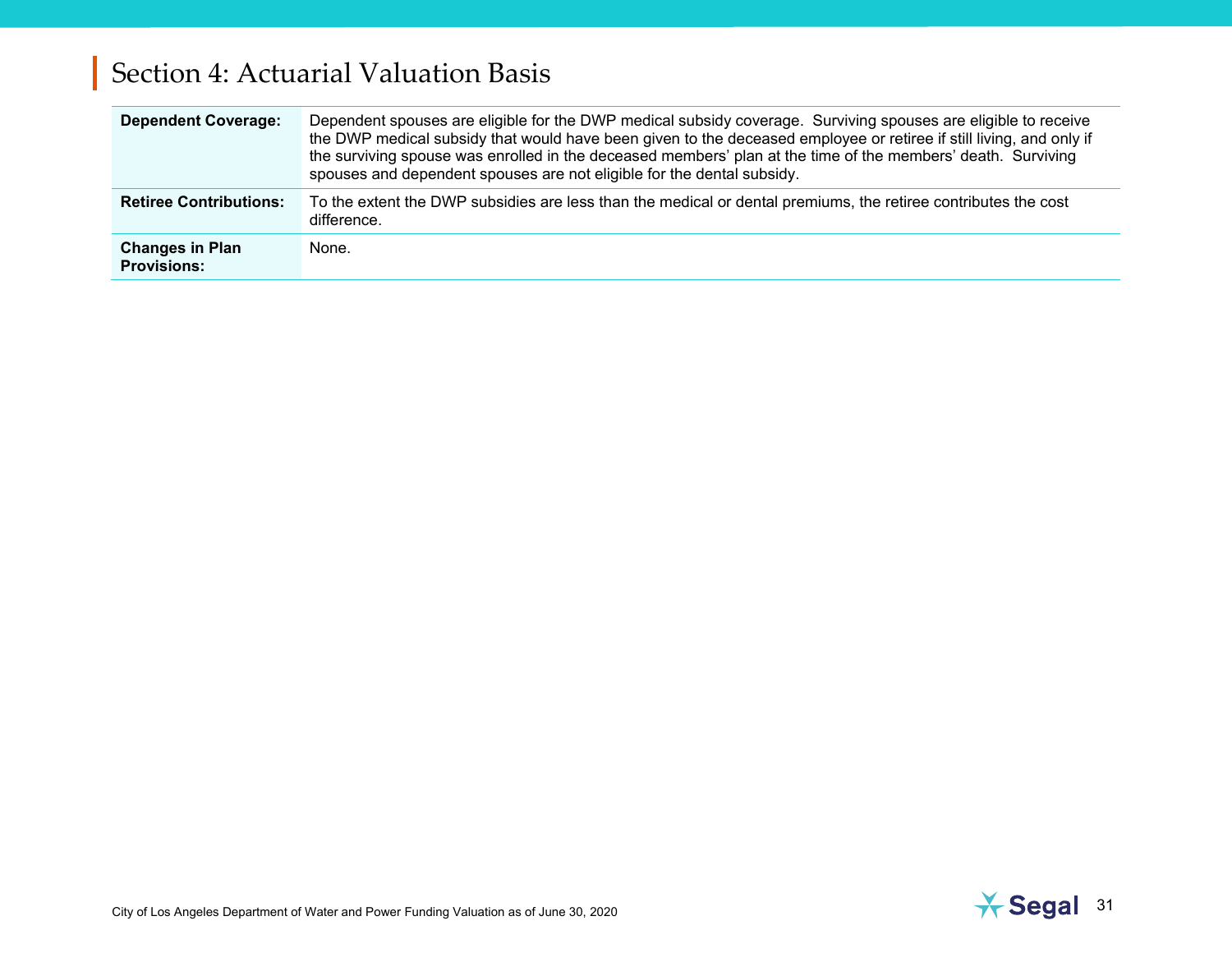| <b>Dependent Coverage:</b>                   | Dependent spouses are eligible for the DWP medical subsidy coverage. Surviving spouses are eligible to receive<br>the DWP medical subsidy that would have been given to the deceased employee or retiree if still living, and only if<br>the surviving spouse was enrolled in the deceased members' plan at the time of the members' death. Surviving<br>spouses and dependent spouses are not eligible for the dental subsidy. |
|----------------------------------------------|---------------------------------------------------------------------------------------------------------------------------------------------------------------------------------------------------------------------------------------------------------------------------------------------------------------------------------------------------------------------------------------------------------------------------------|
| <b>Retiree Contributions:</b>                | To the extent the DWP subsidies are less than the medical or dental premiums, the retiree contributes the cost<br>difference.                                                                                                                                                                                                                                                                                                   |
| <b>Changes in Plan</b><br><b>Provisions:</b> | None.                                                                                                                                                                                                                                                                                                                                                                                                                           |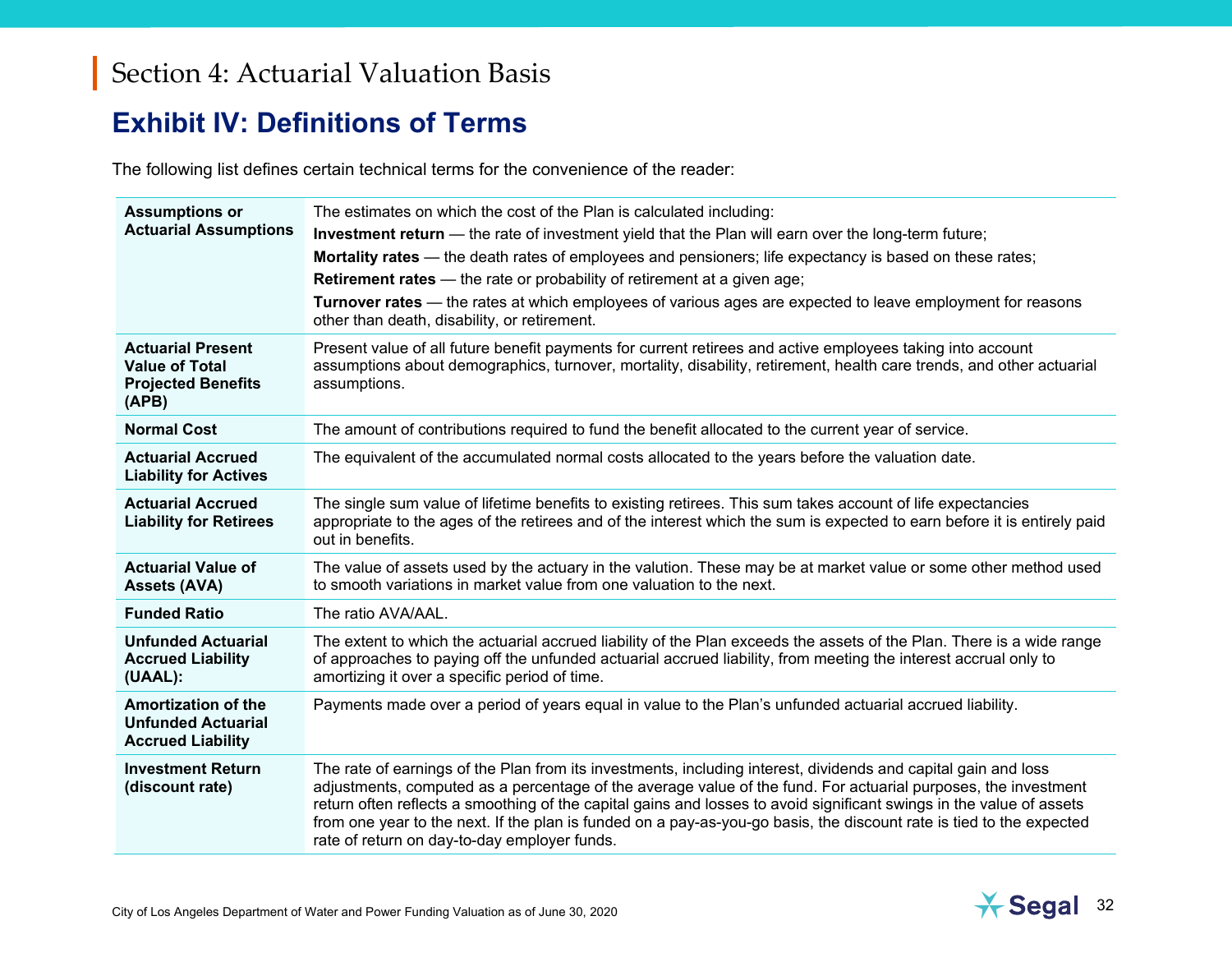#### <span id="page-34-0"></span>**Exhibit IV: Definitions of Terms**

The following list defines certain technical terms for the convenience of the reader:

| <b>Assumptions or</b><br><b>Actuarial Assumptions</b>                                   | The estimates on which the cost of the Plan is calculated including:<br><b>Investment return</b> — the rate of investment yield that the Plan will earn over the long-term future;<br>Mortality rates — the death rates of employees and pensioners; life expectancy is based on these rates;<br><b>Retirement rates</b> — the rate or probability of retirement at a given age;<br>Turnover rates - the rates at which employees of various ages are expected to leave employment for reasons<br>other than death, disability, or retirement. |
|-----------------------------------------------------------------------------------------|------------------------------------------------------------------------------------------------------------------------------------------------------------------------------------------------------------------------------------------------------------------------------------------------------------------------------------------------------------------------------------------------------------------------------------------------------------------------------------------------------------------------------------------------|
| <b>Actuarial Present</b><br><b>Value of Total</b><br><b>Projected Benefits</b><br>(APB) | Present value of all future benefit payments for current retirees and active employees taking into account<br>assumptions about demographics, turnover, mortality, disability, retirement, health care trends, and other actuarial<br>assumptions.                                                                                                                                                                                                                                                                                             |
| <b>Normal Cost</b>                                                                      | The amount of contributions required to fund the benefit allocated to the current year of service.                                                                                                                                                                                                                                                                                                                                                                                                                                             |
| <b>Actuarial Accrued</b><br><b>Liability for Actives</b>                                | The equivalent of the accumulated normal costs allocated to the years before the valuation date.                                                                                                                                                                                                                                                                                                                                                                                                                                               |
| <b>Actuarial Accrued</b><br><b>Liability for Retirees</b>                               | The single sum value of lifetime benefits to existing retirees. This sum takes account of life expectancies<br>appropriate to the ages of the retirees and of the interest which the sum is expected to earn before it is entirely paid<br>out in benefits.                                                                                                                                                                                                                                                                                    |
| <b>Actuarial Value of</b><br><b>Assets (AVA)</b>                                        | The value of assets used by the actuary in the valution. These may be at market value or some other method used<br>to smooth variations in market value from one valuation to the next.                                                                                                                                                                                                                                                                                                                                                        |
| <b>Funded Ratio</b>                                                                     | The ratio AVA/AAL.                                                                                                                                                                                                                                                                                                                                                                                                                                                                                                                             |
| <b>Unfunded Actuarial</b><br><b>Accrued Liability</b><br>(UAAL):                        | The extent to which the actuarial accrued liability of the Plan exceeds the assets of the Plan. There is a wide range<br>of approaches to paying off the unfunded actuarial accrued liability, from meeting the interest accrual only to<br>amortizing it over a specific period of time.                                                                                                                                                                                                                                                      |
| <b>Amortization of the</b><br><b>Unfunded Actuarial</b><br><b>Accrued Liability</b>     | Payments made over a period of years equal in value to the Plan's unfunded actuarial accrued liability.                                                                                                                                                                                                                                                                                                                                                                                                                                        |
| <b>Investment Return</b><br>(discount rate)                                             | The rate of earnings of the Plan from its investments, including interest, dividends and capital gain and loss<br>adjustments, computed as a percentage of the average value of the fund. For actuarial purposes, the investment<br>return often reflects a smoothing of the capital gains and losses to avoid significant swings in the value of assets<br>from one year to the next. If the plan is funded on a pay-as-you-go basis, the discount rate is tied to the expected<br>rate of return on day-to-day employer funds.               |